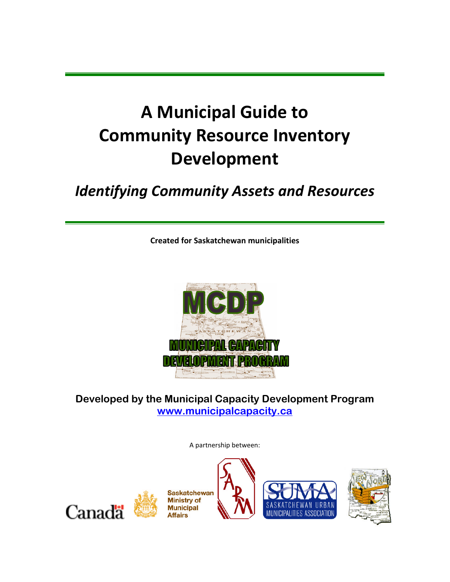# **A Municipal Guide to Community Resource Inventory Development**

# *Identifying Community Assets and Resources*

**Created for Saskatchewan municipalities**



# **Developed by the Municipal Capacity Development Program [www.municipalcapacity.ca](http://www.municipalcapacity.ca/)**

A partnership between:







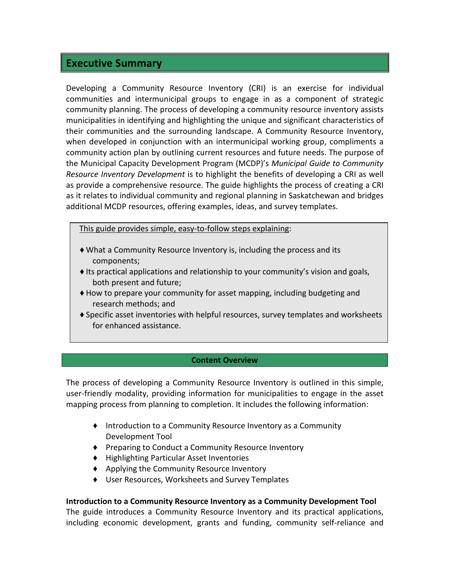### **Executive Summary**

Developing a Community Resource Inventory (CRI) is an exercise for individual communities and intermunicipal groups to engage in as a component of strategic community planning. The process of developing a community resource inventory assists municipalities in identifying and highlighting the unique and significant characteristics of their communities and the surrounding landscape. A Community Resource Inventory, when developed in conjunction with an intermunicipal working group, compliments a community action plan by outlining current resources and future needs. The purpose of the Municipal Capacity Development Program (MCDP)'s *Municipal Guide to Community Resource Inventory Development* is to highlight the benefits of developing a CRI as well as provide a comprehensive resource. The guide highlights the process of creating a CRI as it relates to individual community and regional planning in Saskatchewan and bridges additional MCDP resources, offering examples, ideas, and survey templates.

This guide provides simple, easy-to-follow steps explaining:

- ♦ What a Community Resource Inventory is, including the process and its components;
- $\triangleq$  Its practical applications and relationship to your community's vision and goals, both present and future;
- ♦How to prepare your community for asset mapping, including budgeting and research methods; and
- ♦Specific asset inventories with helpful resources, survey templates and worksheets for enhanced assistance.

#### **Content Overview**

The process of developing a Community Resource Inventory is outlined in this simple, user-friendly modality, providing information for municipalities to engage in the asset mapping process from planning to completion. It includes the following information:

- ♦ Introduction to a Community Resource Inventory as a Community Development Tool
- ♦ Preparing to Conduct a Community Resource Inventory
- ♦ Highlighting Particular Asset Inventories
- ♦ Applying the Community Resource Inventory
- ♦ User Resources, Worksheets and Survey Templates

#### **Introduction to a Community Resource Inventory as a Community Development Tool**

The guide introduces a Community Resource Inventory and its practical applications, including economic development, grants and funding, community self-reliance and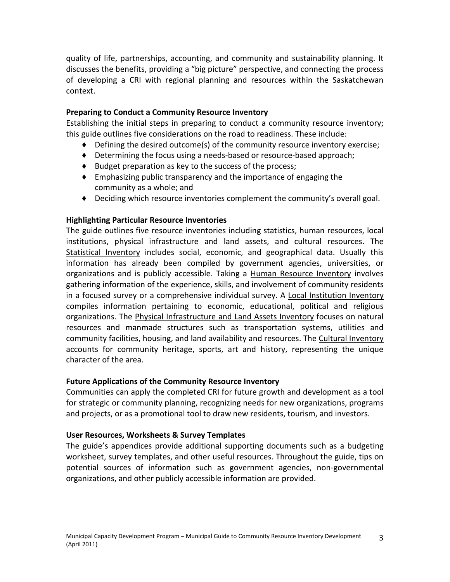quality of life, partnerships, accounting, and community and sustainability planning. It discusses the benefits, providing a "big picture" perspective, and connecting the process of developing a CRI with regional planning and resources within the Saskatchewan context.

#### **Preparing to Conduct a Community Resource Inventory**

Establishing the initial steps in preparing to conduct a community resource inventory; this guide outlines five considerations on the road to readiness. These include:

- ♦ Defining the desired outcome(s) of the community resource inventory exercise;
- ♦ Determining the focus using a needs-based or resource-based approach;
- ♦ Budget preparation as key to the success of the process;
- ♦ Emphasizing public transparency and the importance of engaging the community as a whole; and
- ♦ Deciding which resource inventories complement the community's overall goal.

### **Highlighting Particular Resource Inventories**

The guide outlines five resource inventories including statistics, human resources, local institutions, physical infrastructure and land assets, and cultural resources. The Statistical Inventory includes social, economic, and geographical data. Usually this information has already been compiled by government agencies, universities, or organizations and is publicly accessible. Taking a Human Resource Inventory involves gathering information of the experience, skills, and involvement of community residents in a focused survey or a comprehensive individual survey. A Local Institution Inventory compiles information pertaining to economic, educational, political and religious organizations. The Physical Infrastructure and Land Assets Inventory focuses on natural resources and manmade structures such as transportation systems, utilities and community facilities, housing, and land availability and resources. The Cultural Inventory accounts for community heritage, sports, art and history, representing the unique character of the area.

### **Future Applications of the Community Resource Inventory**

Communities can apply the completed CRI for future growth and development as a tool for strategic or community planning, recognizing needs for new organizations, programs and projects, or as a promotional tool to draw new residents, tourism, and investors.

#### **User Resources, Worksheets & Survey Templates**

The guide's appendices provide additional supporting documents such as a budgeting worksheet, survey templates, and other useful resources. Throughout the guide, tips on potential sources of information such as government agencies, non-governmental organizations, and other publicly accessible information are provided.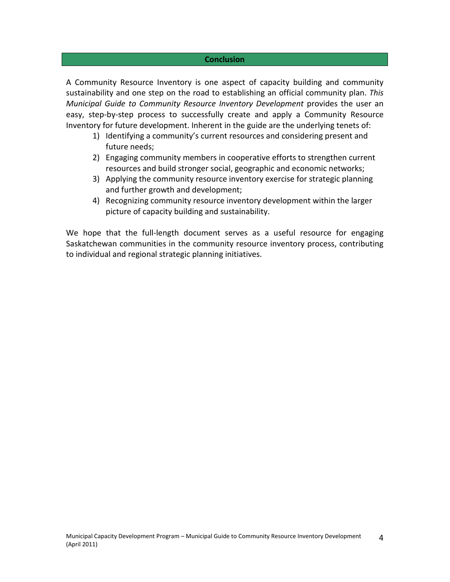#### **Conclusion**

A Community Resource Inventory is one aspect of capacity building and community sustainability and one step on the road to establishing an official community plan. *This Municipal Guide to Community Resource Inventory Development* provides the user an easy, step-by-step process to successfully create and apply a Community Resource Inventory for future development. Inherent in the guide are the underlying tenets of:

- 1) Identifying a community's current resources and considering present and future needs;
- 2) Engaging community members in cooperative efforts to strengthen current resources and build stronger social, geographic and economic networks;
- 3) Applying the community resource inventory exercise for strategic planning and further growth and development;
- 4) Recognizing community resource inventory development within the larger picture of capacity building and sustainability.

We hope that the full-length document serves as a useful resource for engaging Saskatchewan communities in the community resource inventory process, contributing to individual and regional strategic planning initiatives.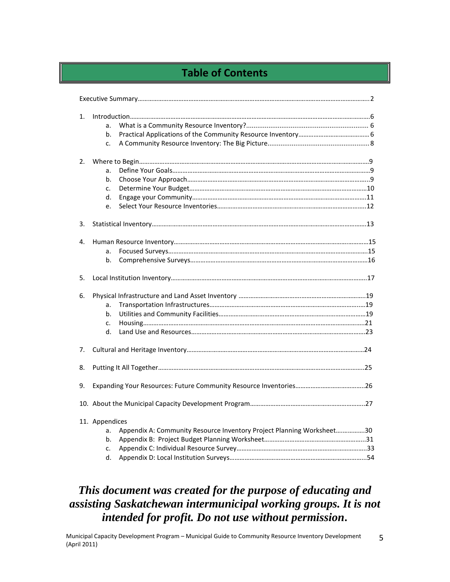# **Table of Contents**

| 1.<br>a.<br>b.<br>c.<br>2.<br>a.<br>b.<br>c.<br>d.<br>e.<br>3.<br>4.<br>a.<br>b.<br>5.<br>6.<br>a.<br>b.<br>c.<br>d.<br>7.<br>8.<br>9.<br>11. Appendices<br>Appendix A: Community Resource Inventory Project Planning Worksheet30<br>a.<br>b.<br>c. |    |  |
|-----------------------------------------------------------------------------------------------------------------------------------------------------------------------------------------------------------------------------------------------------|----|--|
|                                                                                                                                                                                                                                                     |    |  |
|                                                                                                                                                                                                                                                     |    |  |
|                                                                                                                                                                                                                                                     |    |  |
|                                                                                                                                                                                                                                                     |    |  |
|                                                                                                                                                                                                                                                     |    |  |
|                                                                                                                                                                                                                                                     |    |  |
|                                                                                                                                                                                                                                                     |    |  |
|                                                                                                                                                                                                                                                     |    |  |
|                                                                                                                                                                                                                                                     |    |  |
|                                                                                                                                                                                                                                                     |    |  |
|                                                                                                                                                                                                                                                     |    |  |
|                                                                                                                                                                                                                                                     |    |  |
|                                                                                                                                                                                                                                                     |    |  |
|                                                                                                                                                                                                                                                     |    |  |
|                                                                                                                                                                                                                                                     |    |  |
|                                                                                                                                                                                                                                                     |    |  |
|                                                                                                                                                                                                                                                     |    |  |
|                                                                                                                                                                                                                                                     |    |  |
|                                                                                                                                                                                                                                                     |    |  |
|                                                                                                                                                                                                                                                     |    |  |
|                                                                                                                                                                                                                                                     |    |  |
|                                                                                                                                                                                                                                                     |    |  |
|                                                                                                                                                                                                                                                     |    |  |
|                                                                                                                                                                                                                                                     |    |  |
|                                                                                                                                                                                                                                                     |    |  |
|                                                                                                                                                                                                                                                     |    |  |
|                                                                                                                                                                                                                                                     |    |  |
|                                                                                                                                                                                                                                                     |    |  |
|                                                                                                                                                                                                                                                     | d. |  |

# *This document was created for the purpose of educating and assisting Saskatchewan intermunicipal working groups. It is not intended for profit. Do not use without permission***.**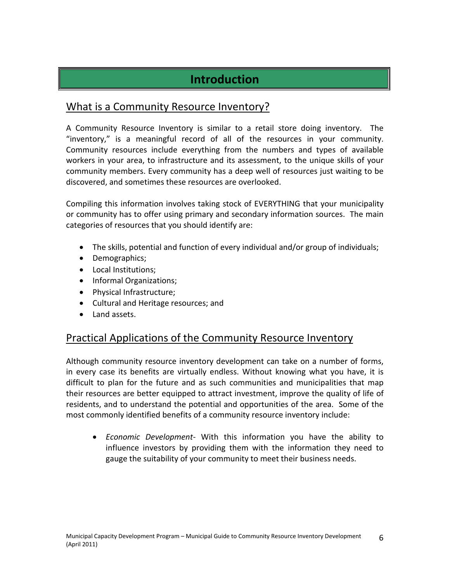# **Introduction**

# What is a Community Resource Inventory?

A Community Resource Inventory is similar to a retail store doing inventory. The "inventory," is a meaningful record of all of the resources in your community. Community resources include everything from the numbers and types of available workers in your area, to infrastructure and its assessment, to the unique skills of your community members. Every community has a deep well of resources just waiting to be discovered, and sometimes these resources are overlooked.

Compiling this information involves taking stock of EVERYTHING that your municipality or community has to offer using primary and secondary information sources. The main categories of resources that you should identify are:

- The skills, potential and function of every individual and/or group of individuals;
- Demographics;
- Local Institutions;
- Informal Organizations;
- Physical Infrastructure;
- Cultural and Heritage resources; and
- Land assets.

### Practical Applications of the Community Resource Inventory

Although community resource inventory development can take on a number of forms, in every case its benefits are virtually endless. Without knowing what you have, it is difficult to plan for the future and as such communities and municipalities that map their resources are better equipped to attract investment, improve the quality of life of residents, and to understand the potential and opportunities of the area. Some of the most commonly identified benefits of a community resource inventory include:

 *Economic Development*- With this information you have the ability to influence investors by providing them with the information they need to gauge the suitability of your community to meet their business needs.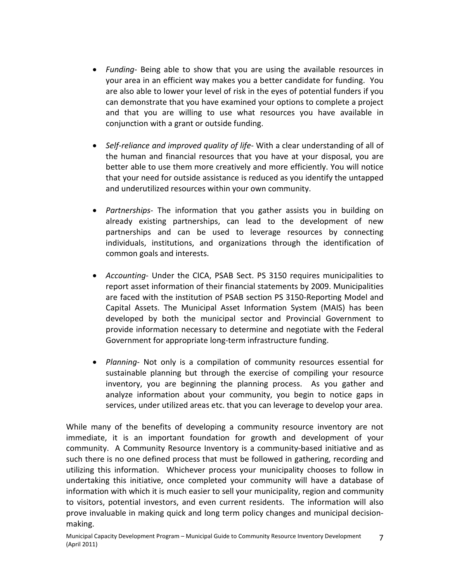- *Funding* Being able to show that you are using the available resources in your area in an efficient way makes you a better candidate for funding. You are also able to lower your level of risk in the eyes of potential funders if you can demonstrate that you have examined your options to complete a project and that you are willing to use what resources you have available in conjunction with a grant or outside funding.
- *Self-reliance and improved quality of life* With a clear understanding of all of the human and financial resources that you have at your disposal, you are better able to use them more creatively and more efficiently. You will notice that your need for outside assistance is reduced as you identify the untapped and underutilized resources within your own community.
- *Partnerships-* The information that you gather assists you in building on already existing partnerships, can lead to the development of new partnerships and can be used to leverage resources by connecting individuals, institutions, and organizations through the identification of common goals and interests.
- *Accounting* Under the CICA, PSAB Sect. PS 3150 requires municipalities to report asset information of their financial statements by 2009. Municipalities are faced with the institution of PSAB section PS 3150-Reporting Model and Capital Assets. The Municipal Asset Information System (MAIS) has been developed by both the municipal sector and Provincial Government to provide information necessary to determine and negotiate with the Federal Government for appropriate long-term infrastructure funding.
- *Planning* Not only is a compilation of community resources essential for sustainable planning but through the exercise of compiling your resource inventory, you are beginning the planning process. As you gather and analyze information about your community, you begin to notice gaps in services, under utilized areas etc. that you can leverage to develop your area.

While many of the benefits of developing a community resource inventory are not immediate, it is an important foundation for growth and development of your community. A Community Resource Inventory is a community-based initiative and as such there is no one defined process that must be followed in gathering, recording and utilizing this information. Whichever process your municipality chooses to follow in undertaking this initiative, once completed your community will have a database of information with which it is much easier to sell your municipality, region and community to visitors, potential investors, and even current residents. The information will also prove invaluable in making quick and long term policy changes and municipal decisionmaking.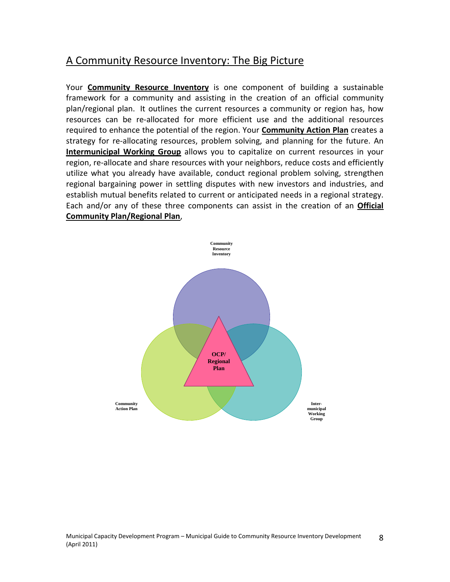# A Community Resource Inventory: The Big Picture

Your **Community Resource Inventory** is one component of building a sustainable framework for a community and assisting in the creation of an official community plan/regional plan. It outlines the current resources a community or region has, how resources can be re-allocated for more efficient use and the additional resources required to enhance the potential of the region. Your **Community Action Plan** creates a strategy for re-allocating resources, problem solving, and planning for the future. An **Intermunicipal Working Group** allows you to capitalize on current resources in your region, re-allocate and share resources with your neighbors, reduce costs and efficiently utilize what you already have available, conduct regional problem solving, strengthen regional bargaining power in settling disputes with new investors and industries, and establish mutual benefits related to current or anticipated needs in a regional strategy. Each and/or any of these three components can assist in the creation of an **Official Community Plan/Regional Plan**,

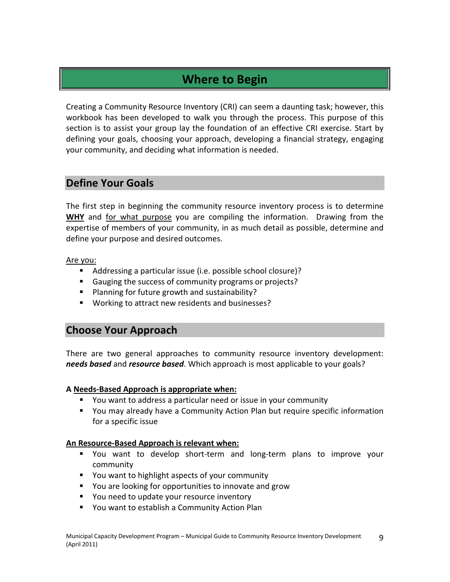# **Where to Begin**

Creating a Community Resource Inventory (CRI) can seem a daunting task; however, this workbook has been developed to walk you through the process. This purpose of this section is to assist your group lay the foundation of an effective CRI exercise. Start by defining your goals, choosing your approach, developing a financial strategy, engaging your community, and deciding what information is needed.

# **Define Your Goals**

The first step in beginning the community resource inventory process is to determine **WHY** and for what purpose you are compiling the information. Drawing from the expertise of members of your community, in as much detail as possible, determine and define your purpose and desired outcomes.

Are you:

- Addressing a particular issue (i.e. possible school closure)?
- Gauging the success of community programs or projects?
- Planning for future growth and sustainability?
- **Working to attract new residents and businesses?**

# **Choose Your Approach**

There are two general approaches to community resource inventory development: *needs based* and *resource based*. Which approach is most applicable to your goals?

### **A Needs-Based Approach is appropriate when:**

- You want to address a particular need or issue in your community
- You may already have a Community Action Plan but require specific information for a specific issue

### **An Resource-Based Approach is relevant when:**

- You want to develop short-term and long-term plans to improve your community
- You want to highlight aspects of your community
- **•** You are looking for opportunities to innovate and grow
- **P** You need to update your resource inventory
- You want to establish a Community Action Plan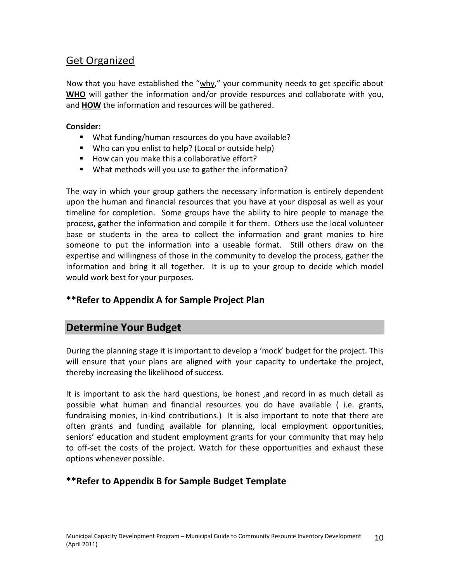# Get Organized

Now that you have established the "why," your community needs to get specific about **WHO** will gather the information and/or provide resources and collaborate with you, and **HOW** the information and resources will be gathered.

### **Consider:**

- What funding/human resources do you have available?
- Who can you enlist to help? (Local or outside help)
- How can you make this a collaborative effort?
- What methods will you use to gather the information?

The way in which your group gathers the necessary information is entirely dependent upon the human and financial resources that you have at your disposal as well as your timeline for completion. Some groups have the ability to hire people to manage the process, gather the information and compile it for them. Others use the local volunteer base or students in the area to collect the information and grant monies to hire someone to put the information into a useable format. Still others draw on the expertise and willingness of those in the community to develop the process, gather the information and bring it all together. It is up to your group to decide which model would work best for your purposes.

### **\*\*Refer to Appendix A for Sample Project Plan**

# **Determine Your Budget**

During the planning stage it is important to develop a 'mock' budget for the project. This will ensure that your plans are aligned with your capacity to undertake the project, thereby increasing the likelihood of success.

It is important to ask the hard questions, be honest ,and record in as much detail as possible what human and financial resources you do have available ( i.e. grants, fundraising monies, in-kind contributions.) It is also important to note that there are often grants and funding available for planning, local employment opportunities, seniors' education and student employment grants for your community that may help to off-set the costs of the project. Watch for these opportunities and exhaust these options whenever possible.

### **\*\*Refer to Appendix B for Sample Budget Template**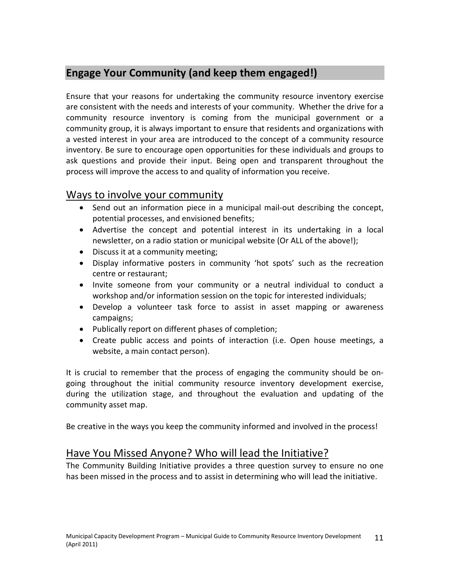# **Engage Your Community (and keep them engaged!)**

Ensure that your reasons for undertaking the community resource inventory exercise are consistent with the needs and interests of your community. Whether the drive for a community resource inventory is coming from the municipal government or a community group, it is always important to ensure that residents and organizations with a vested interest in your area are introduced to the concept of a community resource inventory. Be sure to encourage open opportunities for these individuals and groups to ask questions and provide their input. Being open and transparent throughout the process will improve the access to and quality of information you receive.

# Ways to involve your community

- Send out an information piece in a municipal mail-out describing the concept, potential processes, and envisioned benefits;
- Advertise the concept and potential interest in its undertaking in a local newsletter, on a radio station or municipal website (Or ALL of the above!);
- Discuss it at a community meeting;
- Display informative posters in community 'hot spots' such as the recreation centre or restaurant;
- Invite someone from your community or a neutral individual to conduct a workshop and/or information session on the topic for interested individuals;
- Develop a volunteer task force to assist in asset mapping or awareness campaigns;
- Publically report on different phases of completion;
- Create public access and points of interaction (i.e. Open house meetings, a website, a main contact person).

It is crucial to remember that the process of engaging the community should be ongoing throughout the initial community resource inventory development exercise, during the utilization stage, and throughout the evaluation and updating of the community asset map.

Be creative in the ways you keep the community informed and involved in the process!

# Have You Missed Anyone? Who will lead the Initiative?

The Community Building Initiative provides a three question survey to ensure no one has been missed in the process and to assist in determining who will lead the initiative.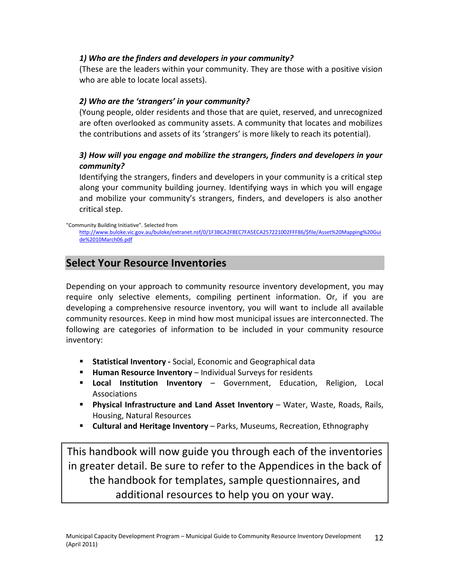### *1) Who are the finders and developers in your community?*

(These are the leaders within your community. They are those with a positive vision who are able to locate local assets).

### *2) Who are the 'strangers' in your community?*

(Young people, older residents and those that are quiet, reserved, and unrecognized are often overlooked as community assets. A community that locates and mobilizes the contributions and assets of its 'strangers' is more likely to reach its potential).

### *3) How will you engage and mobilize the strangers, finders and developers in your community?*

Identifying the strangers, finders and developers in your community is a critical step along your community building journey. Identifying ways in which you will engage and mobilize your community's strangers, finders, and developers is also another critical step.

"Community Building Initiative". Selected from [http://www.buloke.vic.gov.au/buloke/extranet.nsf/0/1F3BCA2F8EC7FA5ECA257221002FFF86/\\$file/Asset%20Mapping%20Gui](http://www.buloke.vic.gov.au/buloke/extranet.nsf/0/1F3BCA2F8EC7FA5ECA257221002FFF86/$file/Asset Mapping Guide 10March06.pdf) [de%2010March06.pdf](http://www.buloke.vic.gov.au/buloke/extranet.nsf/0/1F3BCA2F8EC7FA5ECA257221002FFF86/$file/Asset Mapping Guide 10March06.pdf)

# **Select Your Resource Inventories**

Depending on your approach to community resource inventory development, you may require only selective elements, compiling pertinent information. Or, if you are developing a comprehensive resource inventory, you will want to include all available community resources. Keep in mind how most municipal issues are interconnected. The following are categories of information to be included in your community resource inventory:

- **Statistical Inventory -** Social, Economic and Geographical data
- **Human Resource Inventory** Individual Surveys for residents
- **Local Institution Inventory** Government, Education, Religion, Local Associations
- **Physical Infrastructure and Land Asset Inventory** Water, Waste, Roads, Rails, Housing, Natural Resources
- **Cultural and Heritage Inventory** Parks, Museums, Recreation, Ethnography

This handbook will now guide you through each of the inventories in greater detail. Be sure to refer to the Appendices in the back of the handbook for templates, sample questionnaires, and additional resources to help you on your way.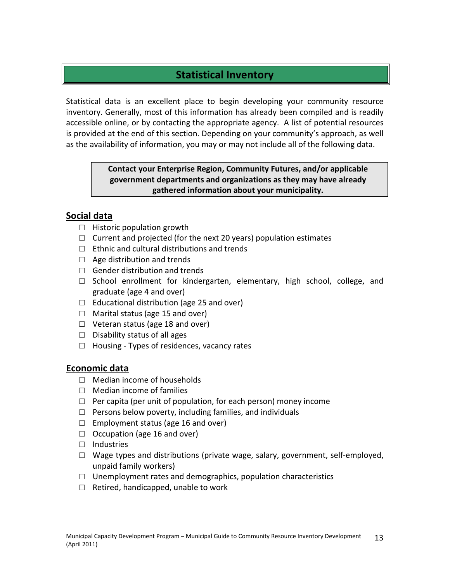# **Statistical Inventory**

Statistical data is an excellent place to begin developing your community resource inventory. Generally, most of this information has already been compiled and is readily accessible online, or by contacting the appropriate agency. A list of potential resources is provided at the end of this section. Depending on your community's approach, as well as the availability of information, you may or may not include all of the following data.

> **Contact your Enterprise Region, Community Futures, and/or applicable government departments and organizations as they may have already gathered information about your municipality.**

### **Social data**

- $\Box$  Historic population growth
- $\Box$  Current and projected (for the next 20 years) population estimates
- $\Box$  Ethnic and cultural distributions and trends
- $\Box$  Age distribution and trends
- $\Box$  Gender distribution and trends
- $\square$  School enrollment for kindergarten, elementary, high school, college, and graduate (age 4 and over)
- □ Educational distribution (age 25 and over)
- $\Box$  Marital status (age 15 and over)
- $\Box$  Veteran status (age 18 and over)
- $\Box$  Disability status of all ages
- □ Housing Types of residences, vacancy rates

### **Economic data**

- □ Median income of households
- □ Median income of families
- $\Box$  Per capita (per unit of population, for each person) money income
- $\Box$  Persons below poverty, including families, and individuals
- $\Box$  Employment status (age 16 and over)
- $\Box$  Occupation (age 16 and over)
- □ Industries
- □ Wage types and distributions (private wage, salary, government, self-employed, unpaid family workers)
- $\Box$  Unemployment rates and demographics, population characteristics
- $\Box$  Retired, handicapped, unable to work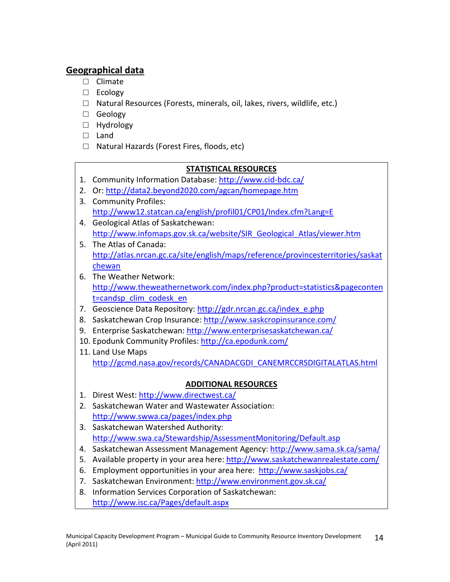# **Geographical data**

- □ Climate
- □ Ecology
- □ Natural Resources (Forests, minerals, oil, lakes, rivers, wildlife, etc.)
- □ Geology
- □ Hydrology
- □ Land
- □ Natural Hazards (Forest Fires, floods, etc)

### **STATISTICAL RESOURCES**

- 1. Community Information Database: <http://www.cid-bdc.ca/>
- 2. Or: <http://data2.beyond2020.com/agcan/homepage.htm>
- 3. Community Profiles: <http://www12.statcan.ca/english/profil01/CP01/Index.cfm?Lang=E>
- 4. Geological Atlas of Saskatchewan: [http://www.infomaps.gov.sk.ca/website/SIR\\_Geological\\_Atlas/viewer.htm](http://www.infomaps.gov.sk.ca/website/SIR_Geological_Atlas/viewer.htm)
- 5. The Atlas of Canada: [http://atlas.nrcan.gc.ca/site/english/maps/reference/provincesterritories/saskat](http://atlas.nrcan.gc.ca/site/english/maps/reference/provincesterritories/saskatchewan) [chewan](http://atlas.nrcan.gc.ca/site/english/maps/reference/provincesterritories/saskatchewan)
- 6. The Weather Network: [http://www.theweathernetwork.com/index.php?product=statistics&pageconten](http://www.theweathernetwork.com/index.php?product=statistics&pagecontent=candsp_clim_codesk_en) [t=candsp\\_clim\\_codesk\\_en](http://www.theweathernetwork.com/index.php?product=statistics&pagecontent=candsp_clim_codesk_en)
- 7. Geoscience Data Repository: [http://gdr.nrcan.gc.ca/index\\_e.php](http://gdr.nrcan.gc.ca/index_e.php)
- 8. Saskatchewan Crop Insurance: <http://www.saskcropinsurance.com/>
- 9. Enterprise Saskatchewan: <http://www.enterprisesaskatchewan.ca/>
- 10. Epodunk Community Profiles: <http://ca.epodunk.com/>
- 11. Land Use Maps [http://gcmd.nasa.gov/records/CANADACGDI\\_CANEMRCCRSDIGITALATLAS.html](http://gcmd.nasa.gov/records/CANADACGDI_CANEMRCCRSDIGITALATLAS.html)

# **ADDITIONAL RESOURCES**

- 1. Direst West: <http://www.directwest.ca/>
- 2. Saskatchewan Water and Wastewater Association: <http://www.swwa.ca/pages/index.php>
- 3. Saskatchewan Watershed Authority: <http://www.swa.ca/Stewardship/AssessmentMonitoring/Default.asp>
- 4. Saskatchewan Assessment Management Agency: <http://www.sama.sk.ca/sama/>
- 5. Available property in your area here: <http://www.saskatchewanrealestate.com/>
- 6. Employment opportunities in your area here: <http://www.saskjobs.ca/>
- 7. Saskatchewan Environment: <http://www.environment.gov.sk.ca/>
- 8. Information Services Corporation of Saskatchewan: <http://www.isc.ca/Pages/default.aspx>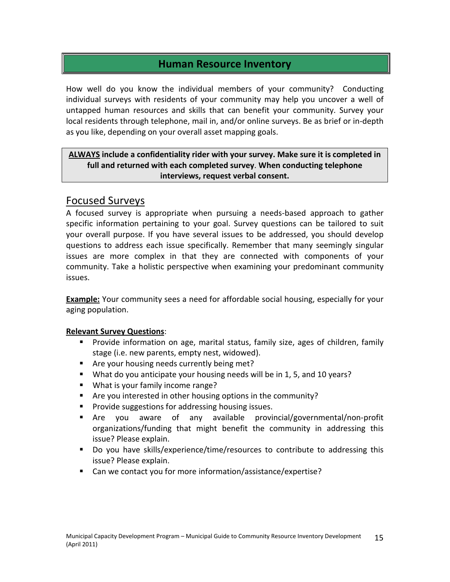# **Human Resource Inventory**

How well do you know the individual members of your community? Conducting individual surveys with residents of your community may help you uncover a well of untapped human resources and skills that can benefit your community. Survey your local residents through telephone, mail in, and/or online surveys. Be as brief or in-depth as you like, depending on your overall asset mapping goals.

### **ALWAYS include a confidentiality rider with your survey. Make sure it is completed in full and returned with each completed survey**. **When conducting telephone interviews, request verbal consent.**

# Focused Surveys

A focused survey is appropriate when pursuing a needs-based approach to gather specific information pertaining to your goal. Survey questions can be tailored to suit your overall purpose. If you have several issues to be addressed, you should develop questions to address each issue specifically. Remember that many seemingly singular issues are more complex in that they are connected with components of your community. Take a holistic perspective when examining your predominant community issues.

**Example:** Your community sees a need for affordable social housing, especially for your aging population.

### **Relevant Survey Questions**:

- Provide information on age, marital status, family size, ages of children, family stage (i.e. new parents, empty nest, widowed).
- Are your housing needs currently being met?
- What do you anticipate your housing needs will be in 1, 5, and 10 years?
- **What is your family income range?**
- Are you interested in other housing options in the community?
- **Provide suggestions for addressing housing issues.**
- Are you aware of any available provincial/governmental/non-profit organizations/funding that might benefit the community in addressing this issue? Please explain.
- Do you have skills/experience/time/resources to contribute to addressing this issue? Please explain.
- Can we contact you for more information/assistance/expertise?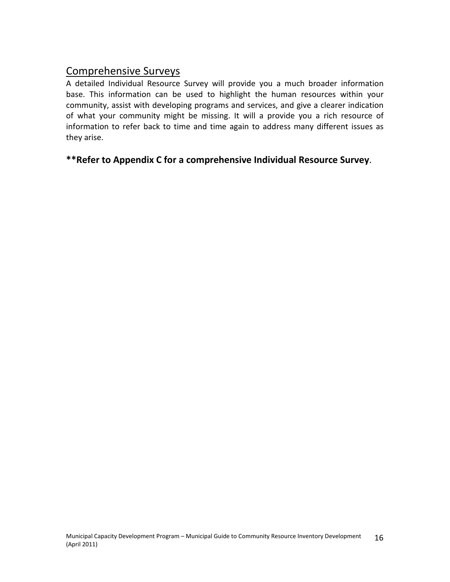# Comprehensive Surveys

A detailed Individual Resource Survey will provide you a much broader information base. This information can be used to highlight the human resources within your community, assist with developing programs and services, and give a clearer indication of what your community might be missing. It will a provide you a rich resource of information to refer back to time and time again to address many different issues as they arise.

### **\*\*Refer to Appendix C for a comprehensive Individual Resource Survey**.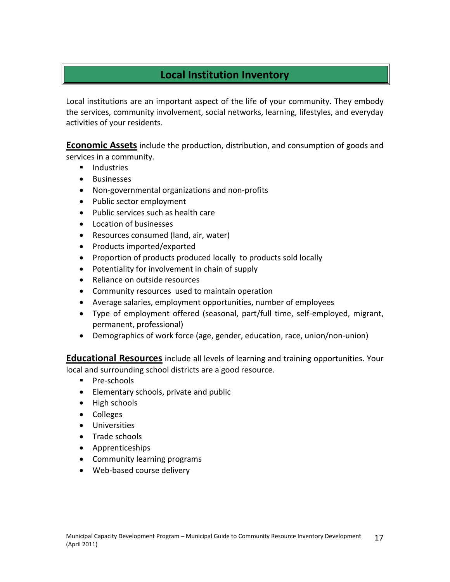# **Local Institution Inventory**

Local institutions are an important aspect of the life of your community. They embody the services, community involvement, social networks, learning, lifestyles, and everyday activities of your residents.

**Economic Assets** include the production, distribution, and consumption of goods and services in a community.

- **Industries**
- Businesses
- Non-governmental organizations and non-profits
- Public sector employment
- Public services such as health care
- Location of businesses
- Resources consumed (land, air, water)
- Products imported/exported
- Proportion of products produced locally to products sold locally
- Potentiality for involvement in chain of supply
- Reliance on outside resources
- Community resources used to maintain operation
- Average salaries, employment opportunities, number of employees
- Type of employment offered (seasonal, part/full time, self-employed, migrant, permanent, professional)
- Demographics of work force (age, gender, education, race, union/non-union)

**Educational Resources** include all levels of learning and training opportunities. Your local and surrounding school districts are a good resource.

- **Pre-schools**
- Elementary schools, private and public
- High schools
- Colleges
- Universities
- Trade schools
- Apprenticeships
- Community learning programs
- Web-based course delivery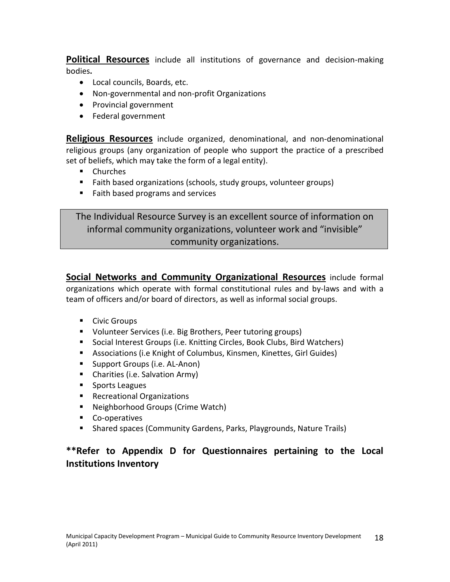**Political Resources** include all institutions of governance and decision-making bodies**.**

- Local councils, Boards, etc.
- Non-governmental and non-profit Organizations
- Provincial government
- Federal government

**Religious Resources** include organized, denominational, and non-denominational religious groups (any organization of people who support the practice of a prescribed set of beliefs, which may take the form of a legal entity).

- **Churches**
- **Faith based organizations (schools, study groups, volunteer groups)**
- **Faith based programs and services**

The Individual Resource Survey is an excellent source of information on informal community organizations, volunteer work and "invisible" community organizations.

**Social Networks and Community Organizational Resources** include formal organizations which operate with formal constitutional rules and by-laws and with a team of officers and/or board of directors, as well as informal social groups.

- **Civic Groups**
- Volunteer Services (i.e. Big Brothers, Peer tutoring groups)
- Social Interest Groups (i.e. Knitting Circles, Book Clubs, Bird Watchers)
- Associations (i.e Knight of Columbus, Kinsmen, Kinettes, Girl Guides)
- **Support Groups (i.e. AL-Anon)**
- Charities (i.e. Salvation Army)
- **Sports Leagues**
- **Recreational Organizations**
- Neighborhood Groups (Crime Watch)
- **Co-operatives**
- Shared spaces (Community Gardens, Parks, Playgrounds, Nature Trails)

# **\*\*Refer to Appendix D for Questionnaires pertaining to the Local Institutions Inventory**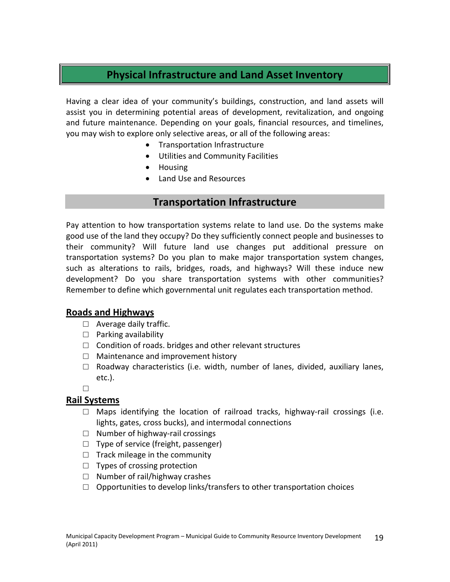# **Physical Infrastructure and Land Asset Inventory**

Having a clear idea of your community's buildings, construction, and land assets will assist you in determining potential areas of development, revitalization, and ongoing and future maintenance. Depending on your goals, financial resources, and timelines, you may wish to explore only selective areas, or all of the following areas:

- Transportation Infrastructure
- Utilities and Community Facilities
- Housing
- Land Use and Resources

### **Transportation Infrastructure**

Pay attention to how transportation systems relate to land use. Do the systems make good use of the land they occupy? Do they sufficiently connect people and businesses to their community? Will future land use changes put additional pressure on transportation systems? Do you plan to make major transportation system changes, such as alterations to rails, bridges, roads, and highways? Will these induce new development? Do you share transportation systems with other communities? Remember to define which governmental unit regulates each transportation method.

### **Roads and Highways**

- $\Box$  Average daily traffic.
- $\Box$  Parking availability
- $\Box$  Condition of roads. bridges and other relevant structures
- □ Maintenance and improvement history
- $\Box$  Roadway characteristics (i.e. width, number of lanes, divided, auxiliary lanes, etc.).
- □

### **Rail Systems**

- $\Box$  Maps identifying the location of railroad tracks, highway-rail crossings (i.e. lights, gates, cross bucks), and intermodal connections
- □ Number of highway-rail crossings
- □ Type of service (freight, passenger)
- $\Box$  Track mileage in the community
- $\Box$  Types of crossing protection
- □ Number of rail/highway crashes
- $\Box$  Opportunities to develop links/transfers to other transportation choices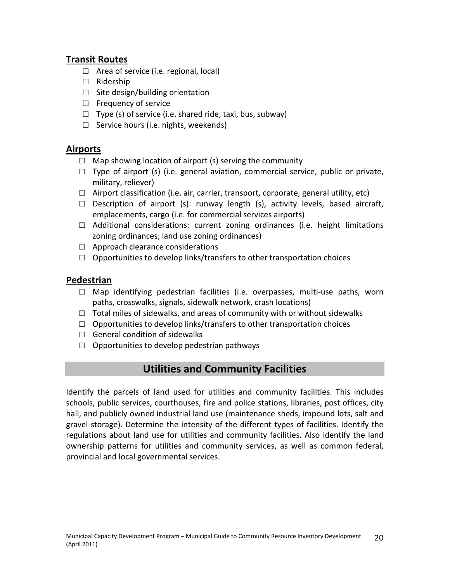### **Transit Routes**

- $\Box$  Area of service (i.e. regional, local)
- □ Ridership
- $\Box$  Site design/building orientation
- $\Box$  Frequency of service
- $\Box$  Type (s) of service (i.e. shared ride, taxi, bus, subway)
- □ Service hours (i.e. nights, weekends)

### **Airports**

- $\Box$  Map showing location of airport (s) serving the community
- $\Box$  Type of airport (s) (i.e. general aviation, commercial service, public or private, military, reliever)
- $\Box$  Airport classification (i.e. air, carrier, transport, corporate, general utility, etc)
- $\square$  Description of airport (s): runway length (s), activity levels, based aircraft, emplacements, cargo (i.e. for commercial services airports)
- $\Box$  Additional considerations: current zoning ordinances (i.e. height limitations zoning ordinances; land use zoning ordinances)
- □ Approach clearance considerations
- $\Box$  Opportunities to develop links/transfers to other transportation choices

### **Pedestrian**

- $\square$  Map identifying pedestrian facilities (i.e. overpasses, multi-use paths, worn paths, crosswalks, signals, sidewalk network, crash locations)
- $\Box$  Total miles of sidewalks, and areas of community with or without sidewalks
- $\Box$  Opportunities to develop links/transfers to other transportation choices
- $\Box$  General condition of sidewalks
- $\Box$  Opportunities to develop pedestrian pathways

# **Utilities and Community Facilities**

Identify the parcels of land used for utilities and community facilities. This includes schools, public services, courthouses, fire and police stations, libraries, post offices, city hall, and publicly owned industrial land use (maintenance sheds, impound lots, salt and gravel storage). Determine the intensity of the different types of facilities. Identify the regulations about land use for utilities and community facilities. Also identify the land ownership patterns for utilities and community services, as well as common federal, provincial and local governmental services.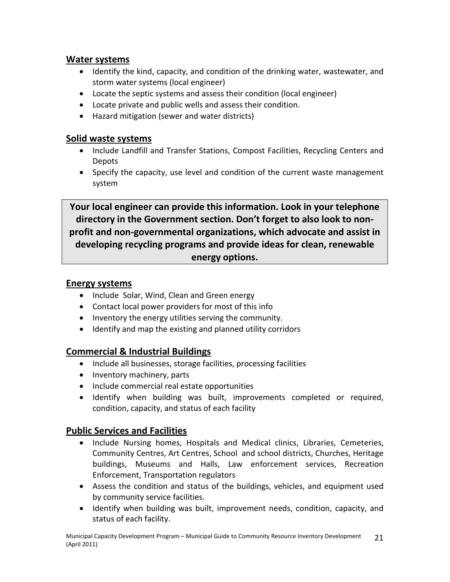### **Water systems**

- Identify the kind, capacity, and condition of the drinking water, wastewater, and storm water systems (local engineer)
- Locate the septic systems and assess their condition (local engineer)
- Locate private and public wells and assess their condition.
- Hazard mitigation (sewer and water districts)

### **Solid waste systems**

- Include Landfill and Transfer Stations, Compost Facilities, Recycling Centers and Depots
- Specify the capacity, use level and condition of the current waste management system

**Your local engineer can provide this information. Look in your telephone directory in the Government section. Don't forget to also look to nonprofit and non-governmental organizations, which advocate and assist in developing recycling programs and provide ideas for clean, renewable energy options.**

### **Energy systems**

- Include Solar, Wind, Clean and Green energy
- Contact local power providers for most of this info
- Inventory the energy utilities serving the community.
- Identify and map the existing and planned utility corridors

### **Commercial & Industrial Buildings**

- Include all businesses, storage facilities, processing facilities
- Inventory machinery, parts
- Include commercial real estate opportunities
- Identify when building was built, improvements completed or required, condition, capacity, and status of each facility

### **Public Services and Facilities**

- Include Nursing homes, Hospitals and Medical clinics, Libraries, Cemeteries, Community Centres, Art Centres, School and school districts, Churches, Heritage buildings, Museums and Halls, Law enforcement services, Recreation Enforcement, Transportation regulators
- Assess the condition and status of the buildings, vehicles, and equipment used by community service facilities.
- Identify when building was built, improvement needs, condition, capacity, and status of each facility.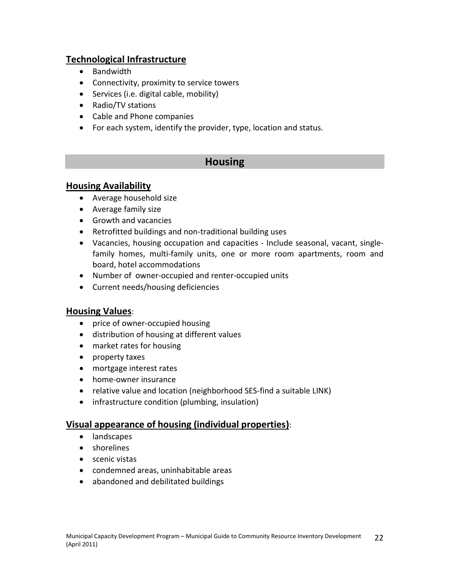### **Technological Infrastructure**

- Bandwidth
- Connectivity, proximity to service towers
- Services (i.e. digital cable, mobility)
- Radio/TV stations
- Cable and Phone companies
- For each system, identify the provider, type, location and status.

# **Housing**

### **Housing Availability**

- Average household size
- Average family size
- Growth and vacancies
- Retrofitted buildings and non-traditional building uses
- Vacancies, housing occupation and capacities Include seasonal, vacant, singlefamily homes, multi-family units, one or more room apartments, room and board, hotel accommodations
- Number of owner-occupied and renter-occupied units
- Current needs/housing deficiencies

### **Housing Values**:

- price of owner-occupied housing
- distribution of housing at different values
- market rates for housing
- property taxes
- mortgage interest rates
- home-owner insurance
- relative value and location (neighborhood SES-find a suitable LINK)
- infrastructure condition (plumbing, insulation)

### **Visual appearance of housing (individual properties)**:

- landscapes
- shorelines
- scenic vistas
- condemned areas, uninhabitable areas
- abandoned and debilitated buildings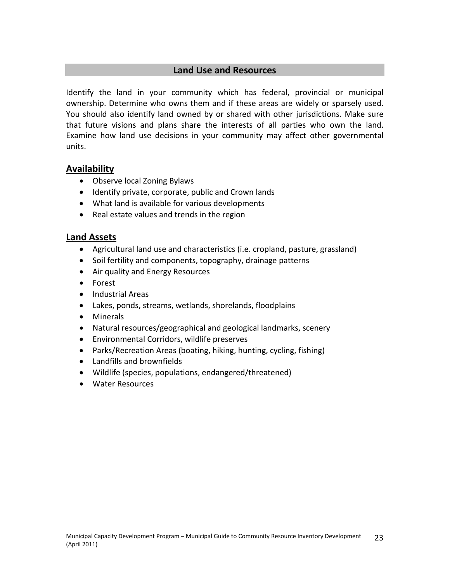### **Land Use and Resources**

Identify the land in your community which has federal, provincial or municipal ownership. Determine who owns them and if these areas are widely or sparsely used. You should also identify land owned by or shared with other jurisdictions. Make sure that future visions and plans share the interests of all parties who own the land. Examine how land use decisions in your community may affect other governmental units.

### **Availability**

- Observe local Zoning Bylaws
- Identify private, corporate, public and Crown lands
- What land is available for various developments
- Real estate values and trends in the region

### **Land Assets**

- Agricultural land use and characteristics (i.e. cropland, pasture, grassland)
- Soil fertility and components, topography, drainage patterns
- Air quality and Energy Resources
- Forest
- Industrial Areas
- Lakes, ponds, streams, wetlands, shorelands, floodplains
- Minerals
- Natural resources/geographical and geological landmarks, scenery
- Environmental Corridors, wildlife preserves
- Parks/Recreation Areas (boating, hiking, hunting, cycling, fishing)
- Landfills and brownfields
- Wildlife (species, populations, endangered/threatened)
- Water Resources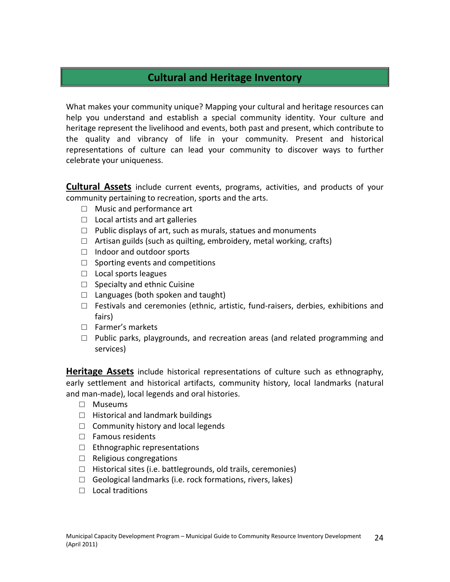# **Cultural and Heritage Inventory**

What makes your community unique? Mapping your cultural and heritage resources can help you understand and establish a special community identity. Your culture and heritage represent the livelihood and events, both past and present, which contribute to the quality and vibrancy of life in your community. Present and historical representations of culture can lead your community to discover ways to further celebrate your uniqueness.

**Cultural Assets** include current events, programs, activities, and products of your community pertaining to recreation, sports and the arts.

- □ Music and performance art
- $\Box$  Local artists and art galleries
- $\Box$  Public displays of art, such as murals, statues and monuments
- $\Box$  Artisan guilds (such as quilting, embroidery, metal working, crafts)
- □ Indoor and outdoor sports
- $\Box$  Sporting events and competitions
- □ Local sports leagues
- $\Box$  Specialty and ethnic Cuisine
- $\Box$  Languages (both spoken and taught)
- $\Box$  Festivals and ceremonies (ethnic, artistic, fund-raisers, derbies, exhibitions and fairs)
- □ Farmer's markets
- $\Box$  Public parks, playgrounds, and recreation areas (and related programming and services)

**Heritage Assets** include historical representations of culture such as ethnography, early settlement and historical artifacts, community history, local landmarks (natural and man-made), local legends and oral histories.

- □ Museums
- $\Box$  Historical and landmark buildings
- $\Box$  Community history and local legends
- □ Famous residents
- $\Box$  Ethnographic representations
- □ Religious congregations
- $\Box$  Historical sites (i.e. battlegrounds, old trails, ceremonies)
- $\Box$  Geological landmarks (i.e. rock formations, rivers, lakes)
- $\Box$  Local traditions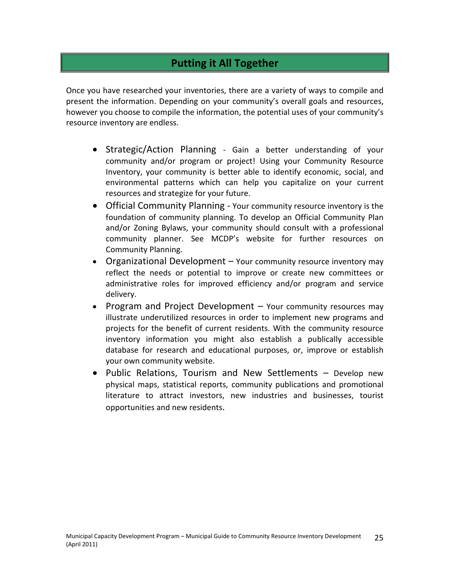# **Putting it All Together**

Once you have researched your inventories, there are a variety of ways to compile and present the information. Depending on your community's overall goals and resources, however you choose to compile the information, the potential uses of your community's resource inventory are endless.

- Strategic/Action Planning Gain a better understanding of your community and/or program or project! Using your Community Resource Inventory, your community is better able to identify economic, social, and environmental patterns which can help you capitalize on your current resources and strategize for your future.
- Official Community Planning Your community resource inventory is the foundation of community planning. To develop an Official Community Plan and/or Zoning Bylaws, your community should consult with a professional community planner. See MCDP's website for further resources on Community Planning.
- Organizational Development Your community resource inventory may reflect the needs or potential to improve or create new committees or administrative roles for improved efficiency and/or program and service delivery.
- Program and Project Development  $-$  Your community resources may illustrate underutilized resources in order to implement new programs and projects for the benefit of current residents. With the community resource inventory information you might also establish a publically accessible database for research and educational purposes, or, improve or establish your own community website.
- Public Relations, Tourism and New Settlements Develop new physical maps, statistical reports, community publications and promotional literature to attract investors, new industries and businesses, tourist opportunities and new residents.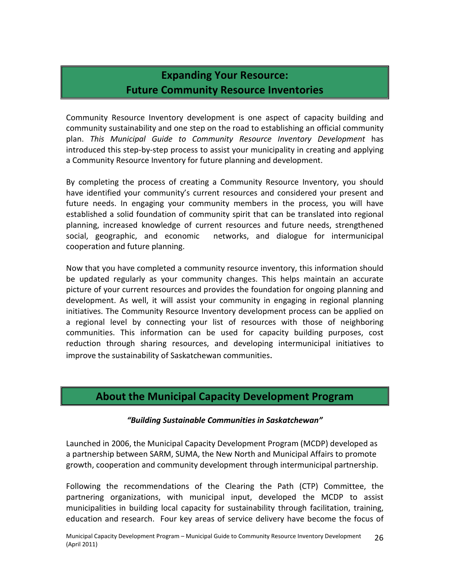# **Expanding Your Resource: Future Community Resource Inventories**

Community Resource Inventory development is one aspect of capacity building and community sustainability and one step on the road to establishing an official community plan. *This Municipal Guide to Community Resource Inventory Development* has introduced this step-by-step process to assist your municipality in creating and applying a Community Resource Inventory for future planning and development.

By completing the process of creating a Community Resource Inventory, you should have identified your community's current resources and considered your present and future needs. In engaging your community members in the process, you will have established a solid foundation of community spirit that can be translated into regional planning, increased knowledge of current resources and future needs, strengthened social, geographic, and economic networks, and dialogue for intermunicipal cooperation and future planning.

Now that you have completed a community resource inventory, this information should be updated regularly as your community changes. This helps maintain an accurate picture of your current resources and provides the foundation for ongoing planning and development. As well, it will assist your community in engaging in regional planning initiatives. The Community Resource Inventory development process can be applied on a regional level by connecting your list of resources with those of neighboring communities. This information can be used for capacity building purposes, cost reduction through sharing resources, and developing intermunicipal initiatives to improve the sustainability of Saskatchewan communities.

# **About the Municipal Capacity Development Program**

### *"Building Sustainable Communities in Saskatchewan"*

Launched in 2006, the Municipal Capacity Development Program (MCDP) developed as a partnership between SARM, SUMA, the New North and Municipal Affairs to promote growth, cooperation and community development through intermunicipal partnership.

Following the recommendations of the Clearing the Path (CTP) Committee, the partnering organizations, with municipal input, developed the MCDP to assist municipalities in building local capacity for sustainability through facilitation, training, education and research. Four key areas of service delivery have become the focus of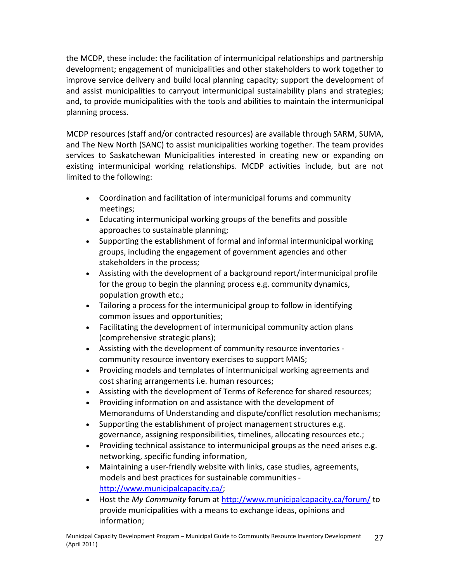the MCDP, these include: the facilitation of intermunicipal relationships and partnership development; engagement of municipalities and other stakeholders to work together to improve service delivery and build local planning capacity; support the development of and assist municipalities to carryout intermunicipal sustainability plans and strategies; and, to provide municipalities with the tools and abilities to maintain the intermunicipal planning process.

MCDP resources (staff and/or contracted resources) are available through SARM, SUMA, and The New North (SANC) to assist municipalities working together. The team provides services to Saskatchewan Municipalities interested in creating new or expanding on existing intermunicipal working relationships. MCDP activities include, but are not limited to the following:

- Coordination and facilitation of intermunicipal forums and community meetings;
- Educating intermunicipal working groups of the benefits and possible approaches to sustainable planning;
- Supporting the establishment of formal and informal intermunicipal working groups, including the engagement of government agencies and other stakeholders in the process;
- Assisting with the development of a background report/intermunicipal profile for the group to begin the planning process e.g. community dynamics, population growth etc.;
- Tailoring a process for the intermunicipal group to follow in identifying common issues and opportunities;
- Facilitating the development of intermunicipal community action plans (comprehensive strategic plans);
- Assisting with the development of community resource inventories community resource inventory exercises to support MAIS;
- Providing models and templates of intermunicipal working agreements and cost sharing arrangements i.e. human resources;
- Assisting with the development of Terms of Reference for shared resources;
- Providing information on and assistance with the development of Memorandums of Understanding and dispute/conflict resolution mechanisms;
- Supporting the establishment of project management structures e.g. governance, assigning responsibilities, timelines, allocating resources etc.;
- Providing technical assistance to intermunicipal groups as the need arises e.g. networking, specific funding information,
- Maintaining a user-friendly website with links, case studies, agreements, models and best practices for sustainable communities [http://www.municipalcapacity.ca/;](http://www.municipalcapacity.ca/)
- Host the *My Community* forum at <http://www.municipalcapacity.ca/forum/> to provide municipalities with a means to exchange ideas, opinions and information;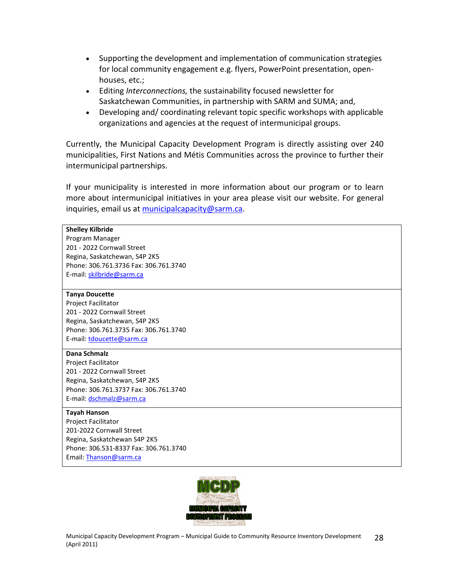- Supporting the development and implementation of communication strategies for local community engagement e.g. flyers, PowerPoint presentation, openhouses, etc.;
- Editing *Interconnections,* the sustainability focused newsletter for Saskatchewan Communities, in partnership with SARM and SUMA; and,
- Developing and/ coordinating relevant topic specific workshops with applicable organizations and agencies at the request of intermunicipal groups.

Currently, the Municipal Capacity Development Program is directly assisting over 240 municipalities, First Nations and Métis Communities across the province to further their intermunicipal partnerships.

If your municipality is interested in more information about our program or to learn more about intermunicipal initiatives in your area please visit our website. For general inquiries, email us at [municipalcapacity@sarm.ca.](mailto:municipalcapacity@sarm.ca)

#### **Shelley Kilbride**

Program Manager 201 - 2022 Cornwall Street Regina, Saskatchewan, S4P 2K5 Phone: 306.761.3736 Fax: 306.761.3740 E-mail: [skilbride@sarm.ca](mailto:skilbride@sarm.ca)

#### **Tanya Doucette**

Project Facilitator 201 - 2022 Cornwall Street Regina, Saskatchewan, S4P 2K5 Phone: 306.761.3735 Fax: 306.761.3740 E-mail: [tdoucette@sarm.ca](mailto:tdoucette@sarm.ca)

#### **Dana Schmalz**

Project Facilitator 201 - 2022 Cornwall Street Regina, Saskatchewan, S4P 2K5 Phone: 306.761.3737 Fax: 306.761.3740 E-mail: [dschmalz@sarm.ca](mailto:dschmalz@sarm.ca)

#### **Tayah Hanson**

Project Facilitator 201-2022 Cornwall Street Regina, Saskatchewan S4P 2K5 Phone: 306.531-8337 Fax: 306.761.3740 Email: [Thanson@sarm.ca](mailto:Thanson@sarm.ca)

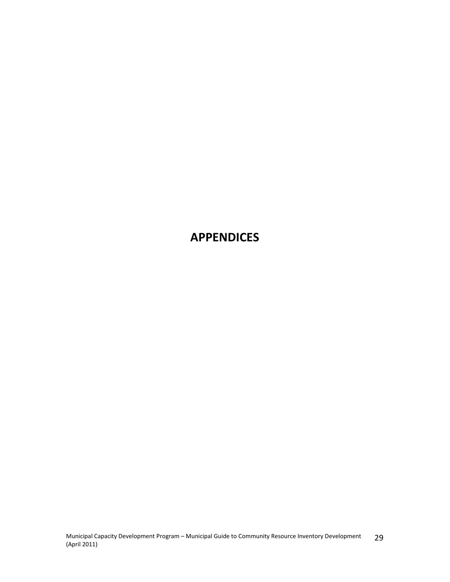# **APPENDICES**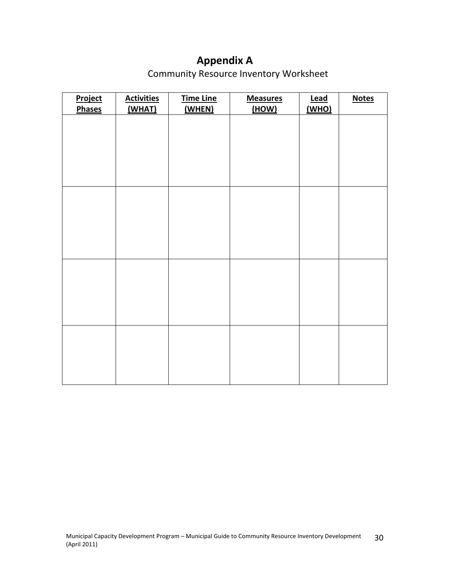# **Appendix A**

Community Resource Inventory Worksheet

| <b>Activities</b> | <b>Time Line</b> | <b>Measures</b> | <b>Lead</b> | <b>Notes</b> |
|-------------------|------------------|-----------------|-------------|--------------|
|                   |                  |                 |             |              |
|                   |                  |                 |             |              |
|                   |                  |                 |             |              |
|                   |                  |                 |             |              |
|                   |                  |                 |             |              |
|                   |                  |                 |             |              |
|                   |                  |                 |             |              |
|                   |                  |                 |             |              |
|                   |                  |                 |             |              |
|                   |                  |                 |             |              |
|                   |                  |                 |             |              |
|                   |                  |                 |             |              |
|                   |                  |                 |             |              |
|                   |                  |                 |             |              |
|                   | (WHAT)           | (WHEN)          | (HOW)       | (WHO)        |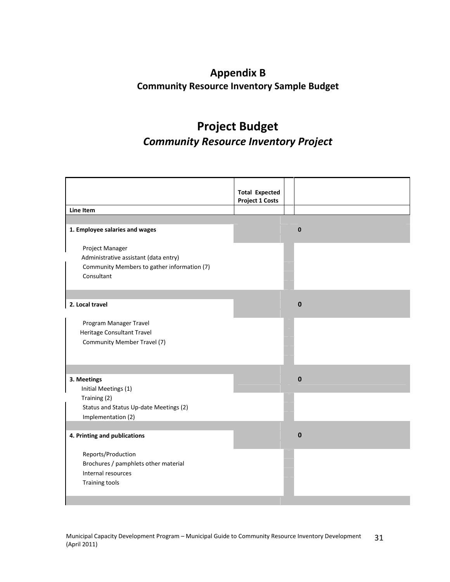# **Appendix B Community Resource Inventory Sample Budget**

# **Project Budget** *Community Resource Inventory Project*

|                                             | <b>Total Expected</b><br><b>Project 1 Costs</b> |              |
|---------------------------------------------|-------------------------------------------------|--------------|
| Line Item                                   |                                                 |              |
|                                             |                                                 |              |
| 1. Employee salaries and wages              |                                                 | $\mathbf{0}$ |
| Project Manager                             |                                                 |              |
| Administrative assistant (data entry)       |                                                 |              |
| Community Members to gather information (7) |                                                 |              |
| Consultant                                  |                                                 |              |
|                                             |                                                 |              |
|                                             |                                                 |              |
| 2. Local travel                             |                                                 | $\mathbf{0}$ |
|                                             |                                                 |              |
| Program Manager Travel                      |                                                 |              |
| Heritage Consultant Travel                  |                                                 |              |
| Community Member Travel (7)                 |                                                 |              |
|                                             |                                                 |              |
|                                             |                                                 |              |
| 3. Meetings                                 |                                                 | $\mathbf{0}$ |
| Initial Meetings (1)                        |                                                 |              |
| Training (2)                                |                                                 |              |
| Status and Status Up-date Meetings (2)      |                                                 |              |
| Implementation (2)                          |                                                 |              |
|                                             |                                                 |              |
| 4. Printing and publications                |                                                 | $\bf{0}$     |
|                                             |                                                 |              |
| Reports/Production                          |                                                 |              |
| Brochures / pamphlets other material        |                                                 |              |
| Internal resources                          |                                                 |              |
| <b>Training tools</b>                       |                                                 |              |
|                                             |                                                 |              |
|                                             |                                                 |              |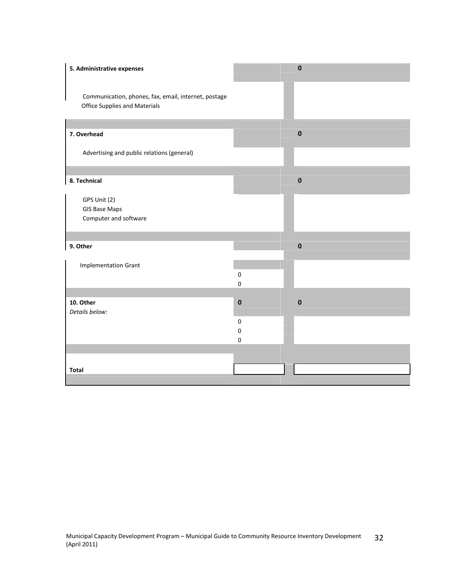| 5. Administrative expenses                                                                   |                                            | $\mathbf 0$ |
|----------------------------------------------------------------------------------------------|--------------------------------------------|-------------|
| Communication, phones, fax, email, internet, postage<br><b>Office Supplies and Materials</b> |                                            |             |
| 7. Overhead                                                                                  |                                            | $\pmb{0}$   |
| Advertising and public relations (general)                                                   |                                            |             |
| 8. Technical                                                                                 |                                            | $\pmb{0}$   |
| GPS Unit (2)<br><b>GIS Base Maps</b><br>Computer and software                                |                                            |             |
| 9. Other                                                                                     |                                            | $\bf{0}$    |
| <b>Implementation Grant</b>                                                                  | $\pmb{0}$<br>$\mathbf 0$                   |             |
| 10. Other<br>Details below:                                                                  | $\bf{0}$                                   | $\pmb{0}$   |
|                                                                                              | $\pmb{0}$<br>$\boldsymbol{0}$<br>$\pmb{0}$ |             |
|                                                                                              |                                            |             |
| <b>Total</b>                                                                                 |                                            |             |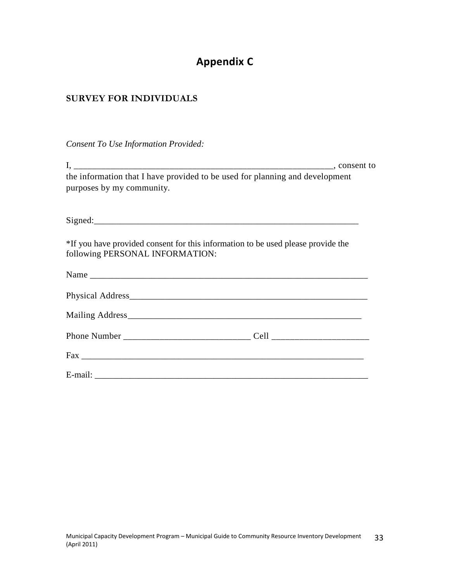# **Appendix C**

# **SURVEY FOR INDIVIDUALS**

*Consent To Use Information Provided:*

| the information that I have provided to be used for planning and development<br>purposes by my community.           |  |
|---------------------------------------------------------------------------------------------------------------------|--|
| Signed: Signed:                                                                                                     |  |
| *If you have provided consent for this information to be used please provide the<br>following PERSONAL INFORMATION: |  |
|                                                                                                                     |  |
|                                                                                                                     |  |
|                                                                                                                     |  |
|                                                                                                                     |  |
|                                                                                                                     |  |
|                                                                                                                     |  |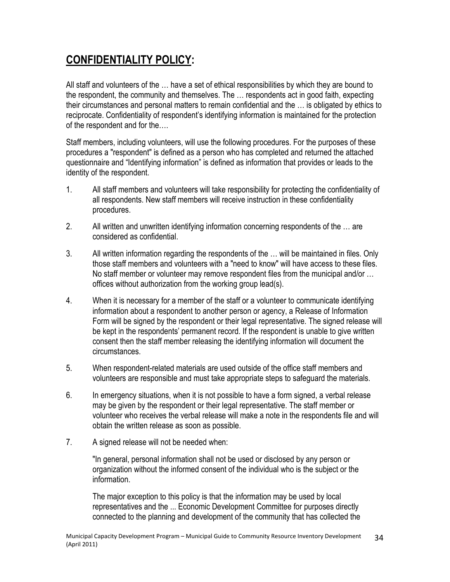# **CONFIDENTIALITY POLICY:**

All staff and volunteers of the … have a set of ethical responsibilities by which they are bound to the respondent, the community and themselves. The … respondents act in good faith, expecting their circumstances and personal matters to remain confidential and the … is obligated by ethics to reciprocate. Confidentiality of respondent's identifying information is maintained for the protection of the respondent and for the….

Staff members, including volunteers, will use the following procedures. For the purposes of these procedures a "respondent" is defined as a person who has completed and returned the attached questionnaire and "Identifying information" is defined as information that provides or leads to the identity of the respondent.

- 1. All staff members and volunteers will take responsibility for protecting the confidentiality of all respondents. New staff members will receive instruction in these confidentiality procedures.
- 2. All written and unwritten identifying information concerning respondents of the … are considered as confidential.
- 3. All written information regarding the respondents of the … will be maintained in files. Only those staff members and volunteers with a "need to know" will have access to these files. No staff member or volunteer may remove respondent files from the municipal and/or … offices without authorization from the working group lead(s).
- 4. When it is necessary for a member of the staff or a volunteer to communicate identifying information about a respondent to another person or agency, a Release of Information Form will be signed by the respondent or their legal representative. The signed release will be kept in the respondents' permanent record. If the respondent is unable to give written consent then the staff member releasing the identifying information will document the circumstances.
- 5. When respondent-related materials are used outside of the office staff members and volunteers are responsible and must take appropriate steps to safeguard the materials.
- 6. In emergency situations, when it is not possible to have a form signed, a verbal release may be given by the respondent or their legal representative. The staff member or volunteer who receives the verbal release will make a note in the respondents file and will obtain the written release as soon as possible.
- 7. A signed release will not be needed when:

"In general, personal information shall not be used or disclosed by any person or organization without the informed consent of the individual who is the subject or the information.

The major exception to this policy is that the information may be used by local representatives and the ... Economic Development Committee for purposes directly connected to the planning and development of the community that has collected the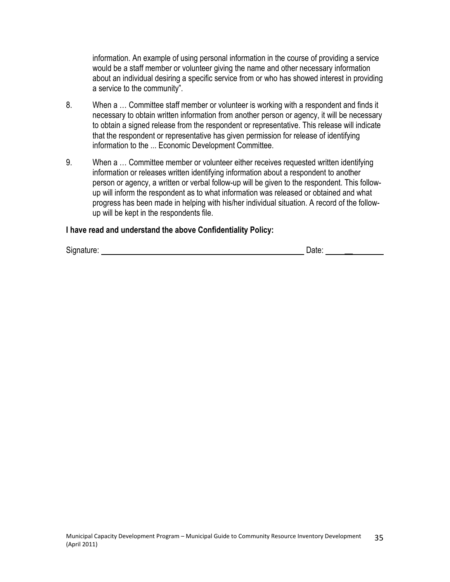information. An example of using personal information in the course of providing a service would be a staff member or volunteer giving the name and other necessary information about an individual desiring a specific service from or who has showed interest in providing a service to the community".

- 8. When a … Committee staff member or volunteer is working with a respondent and finds it necessary to obtain written information from another person or agency, it will be necessary to obtain a signed release from the respondent or representative. This release will indicate that the respondent or representative has given permission for release of identifying information to the ... Economic Development Committee.
- 9. When a … Committee member or volunteer either receives requested written identifying information or releases written identifying information about a respondent to another person or agency, a written or verbal follow-up will be given to the respondent. This followup will inform the respondent as to what information was released or obtained and what progress has been made in helping with his/her individual situation. A record of the followup will be kept in the respondents file.

#### **I have read and understand the above Confidentiality Policy:**

Signature: Date: **\_\_**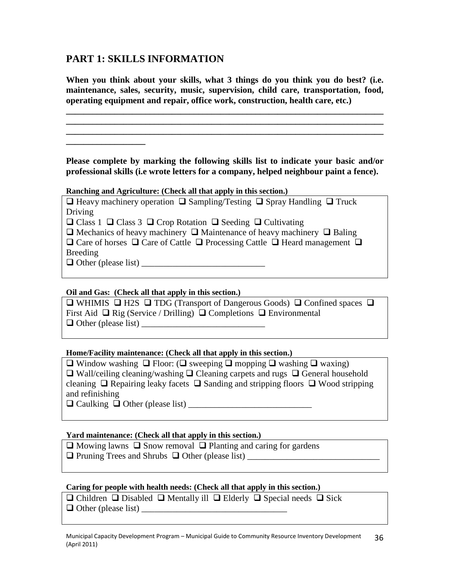## **PART 1: SKILLS INFORMATION**

**When you think about your skills, what 3 things do you think you do best? (i.e. maintenance, sales, security, music, supervision, child care, transportation, food, operating equipment and repair, office work, construction, health care, etc.)**

**\_\_\_\_\_\_\_\_\_\_\_\_\_\_\_\_\_\_\_\_\_\_\_\_\_\_\_\_\_\_\_\_\_\_\_\_\_\_\_\_\_\_\_\_\_\_\_\_\_\_\_\_\_\_\_\_\_\_\_\_\_\_\_\_\_\_\_\_\_\_\_\_ \_\_\_\_\_\_\_\_\_\_\_\_\_\_\_\_\_\_\_\_\_\_\_\_\_\_\_\_\_\_\_\_\_\_\_\_\_\_\_\_\_\_\_\_\_\_\_\_\_\_\_\_\_\_\_\_\_\_\_\_\_\_\_\_\_\_\_\_\_\_\_\_ \_\_\_\_\_\_\_\_\_\_\_\_\_\_\_\_\_\_\_\_\_\_\_\_\_\_\_\_\_\_\_\_\_\_\_\_\_\_\_\_\_\_\_\_\_\_\_\_\_\_\_\_\_\_\_\_\_\_\_\_\_\_\_\_\_\_\_\_\_\_\_\_**

**Please complete by marking the following skills list to indicate your basic and/or professional skills (i.e wrote letters for a company, helped neighbour paint a fence).**

#### **Ranching and Agriculture: (Check all that apply in this section.)**

 $\Box$  Heavy machinery operation  $\Box$  Sampling/Testing  $\Box$  Spray Handling  $\Box$  Truck Driving

 $\Box$  Class 1  $\Box$  Class 3  $\Box$  Crop Rotation  $\Box$  Seeding  $\Box$  Cultivating

 $\Box$  Mechanics of heavy machinery  $\Box$  Maintenance of heavy machinery  $\Box$  Baling  $\Box$  Care of horses  $\Box$  Care of Cattle  $\Box$  Processing Cattle  $\Box$  Heard management  $\Box$ 

Breeding

Other (please list) \_\_\_\_\_\_\_\_\_\_\_\_\_\_\_\_\_\_\_\_\_\_\_\_\_\_\_\_

**\_\_\_\_\_\_\_\_\_\_\_\_\_\_\_\_\_\_**

#### **Oil and Gas: (Check all that apply in this section.)**

 $\Box$  WHIMIS  $\Box$  H2S  $\Box$  TDG (Transport of Dangerous Goods)  $\Box$  Confined spaces  $\Box$ First Aid  $\Box$  Rig (Service / Drilling)  $\Box$  Completions  $\Box$  Environmental  $\Box$  Other (please list)

#### **Home/Facility maintenance: (Check all that apply in this section.)**

 $\Box$  Window washing  $\Box$  Floor: ( $\Box$  sweeping  $\Box$  mopping  $\Box$  washing  $\Box$  waxing)  $\Box$  Wall/ceiling cleaning/washing  $\Box$  Cleaning carpets and rugs  $\Box$  General household cleaning  $\Box$  Repairing leaky facets  $\Box$  Sanding and stripping floors  $\Box$  Wood stripping and refinishing

Caulking Other (please list) \_\_\_\_\_\_\_\_\_\_\_\_\_\_\_\_\_\_\_\_\_\_\_\_\_\_\_\_

#### **Yard maintenance: (Check all that apply in this section.)**

 $\Box$  Mowing lawns  $\Box$  Snow removal  $\Box$  Planting and caring for gardens Pruning Trees and Shrubs Other (please list) \_\_\_\_\_\_\_\_\_\_\_\_\_\_\_\_\_\_\_\_\_\_\_\_\_\_\_\_\_\_

#### **Caring for people with health needs: (Check all that apply in this section.)**

 $\Box$  Children  $\Box$  Disabled  $\Box$  Mentally ill  $\Box$  Elderly  $\Box$  Special needs  $\Box$  Sick Other (please list) \_\_\_\_\_\_\_\_\_\_\_\_\_\_\_\_\_\_\_\_\_\_\_\_\_\_\_\_\_\_\_\_\_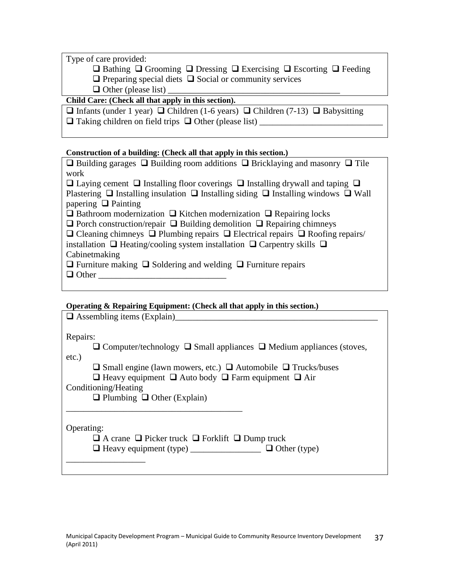Type of care provided:

 $\Box$  Bathing  $\Box$  Grooming  $\Box$  Dressing  $\Box$  Exercising  $\Box$  Escorting  $\Box$  Feeding

 $\Box$  Preparing special diets  $\Box$  Social or community services

 $\Box$  Other (please list)  $\Box$ 

### **Child Care: (Check all that apply in this section).**

 $\Box$  Infants (under 1 year)  $\Box$  Children (1-6 years)  $\Box$  Children (7-13)  $\Box$  Babysitting

 $\Box$  Taking children on field trips  $\Box$  Other (please list)

#### **Construction of a building: (Check all that apply in this section.)**

| $\Box$ Building garages $\Box$ Building room additions $\Box$ Bricklaying and masonry $\Box$ Tile      |
|--------------------------------------------------------------------------------------------------------|
| work                                                                                                   |
| $\Box$ Laying cement $\Box$ Installing floor coverings $\Box$ Installing drywall and taping $\Box$     |
| Plastering $\Box$ Installing insulation $\Box$ Installing siding $\Box$ Installing windows $\Box$ Wall |
| papering $\Box$ Painting                                                                               |
| $\Box$ Bathroom modernization $\Box$ Kitchen modernization $\Box$ Repairing locks                      |
| $\Box$ Porch construction/repair $\Box$ Building demolition $\Box$ Repairing chimneys                  |
| $\Box$ Cleaning chimneys $\Box$ Plumbing repairs $\Box$ Electrical repairs $\Box$ Roofing repairs/     |
| installation $\Box$ Heating/cooling system installation $\Box$ Carpentry skills $\Box$                 |
| Cabinetmaking                                                                                          |
| $\Box$ Furniture making $\Box$ Soldering and welding $\Box$ Furniture repairs                          |
| $\Box$ Other                                                                                           |
|                                                                                                        |

### **Operating & Repairing Equipment: (Check all that apply in this section.)**

| $\sim$ becausing as exchanged adaptivism ( crisism and and above the simple $\sim$<br>$\Box$ Assembling items (Explain) |
|-------------------------------------------------------------------------------------------------------------------------|
|                                                                                                                         |
| Repairs:                                                                                                                |
| $\Box$ Computer/technology $\Box$ Small appliances $\Box$ Medium appliances (stoves,                                    |
| $etc.$ )                                                                                                                |
| $\square$ Small engine (lawn mowers, etc.) $\square$ Automobile $\square$ Trucks/buses                                  |
| $\Box$ Heavy equipment $\Box$ Auto body $\Box$ Farm equipment $\Box$ Air                                                |
| Conditioning/Heating                                                                                                    |
| $\Box$ Plumbing $\Box$ Other (Explain)                                                                                  |
|                                                                                                                         |
|                                                                                                                         |
| Operating:                                                                                                              |
| $\Box$ A crane $\Box$ Picker truck $\Box$ Forklift $\Box$ Dump truck                                                    |
| $\Box$ Heavy equipment (type) $\Box$ Other (type)                                                                       |
|                                                                                                                         |
|                                                                                                                         |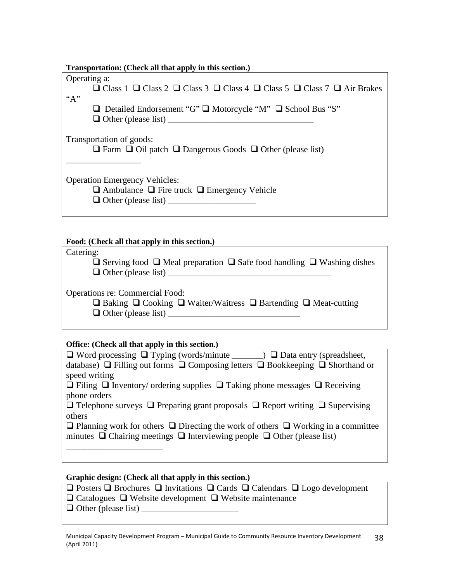| Transportation: (Check all that apply in this section.)                                                     |
|-------------------------------------------------------------------------------------------------------------|
| Operating a:                                                                                                |
| $\Box$ Class 1 $\Box$ Class 2 $\Box$ Class 3 $\Box$ Class 4 $\Box$ Class 5 $\Box$ Class 7 $\Box$ Air Brakes |
| ``A"                                                                                                        |
| $\Box$ Detailed Endorsement "G" $\Box$ Motorcycle "M" $\Box$ School Bus "S"                                 |
| $\Box$ Other (please list) $\Box$                                                                           |
| Transportation of goods:<br>$\Box$ Farm $\Box$ Oil patch $\Box$ Dangerous Goods $\Box$ Other (please list)  |
| <b>Operation Emergency Vehicles:</b>                                                                        |
| $\Box$ Ambulance $\Box$ Fire truck $\Box$ Emergency Vehicle                                                 |
|                                                                                                             |
|                                                                                                             |

#### **Food: (Check all that apply in this section.)**

Catering:

| $\Box$ Serving food $\Box$ Meal preparation $\Box$ Safe food handling $\Box$ Washing dishes |  |
|---------------------------------------------------------------------------------------------|--|
| $\Box$ Other (please list)                                                                  |  |

Operations re: Commercial Food:

| $\Box$ Baking $\Box$ Cooking $\Box$ Waiter/Waitress $\Box$ Bartending $\Box$ Meat-cutting |  |  |
|-------------------------------------------------------------------------------------------|--|--|
| $\Box$ Other (please list)                                                                |  |  |

#### **Office: (Check all that apply in this section.)**

| $\Box$ Word processing $\Box$ Typing (words/minute _______) $\Box$ Data entry (spreadsheet,        |
|----------------------------------------------------------------------------------------------------|
| database) $\Box$ Filling out forms $\Box$ Composing letters $\Box$ Bookkeeping $\Box$ Shorthand or |
| speed writing                                                                                      |
| $\Box$ Filing $\Box$ Inventory/ ordering supplies $\Box$ Taking phone messages $\Box$ Receiving    |
| phone orders                                                                                       |
| $\Box$ Telephone surveys $\Box$ Preparing grant proposals $\Box$ Report writing $\Box$ Supervising |
| others                                                                                             |
| $\Box$ Planning work for others $\Box$ Directing the work of others $\Box$ Working in a committee  |
| minutes $\Box$ Chairing meetings $\Box$ Interviewing people $\Box$ Other (please list)             |
|                                                                                                    |
|                                                                                                    |

### **Graphic design: (Check all that apply in this section.)**

- $\Box$  Posters  $\Box$  Brochures  $\Box$  Invitations  $\Box$  Cards  $\Box$  Calendars  $\Box$  Logo development
- $\Box$  Catalogues  $\Box$  Website development  $\Box$  Website maintenance
- Other (please list) \_\_\_\_\_\_\_\_\_\_\_\_\_\_\_\_\_\_\_\_\_\_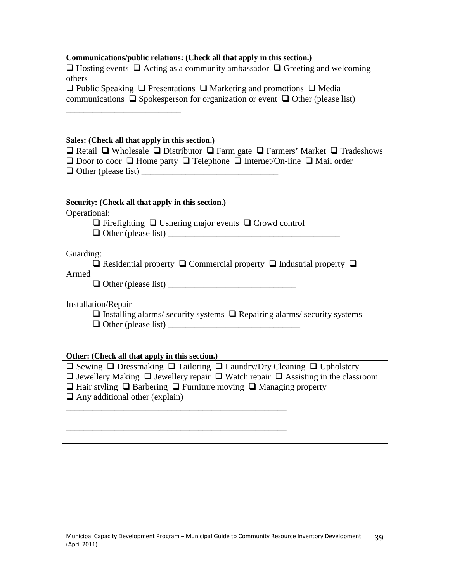#### **Communications/public relations: (Check all that apply in this section.)**

 $\Box$  Hosting events  $\Box$  Acting as a community ambassador  $\Box$  Greeting and welcoming others

 $\Box$  Public Speaking  $\Box$  Presentations  $\Box$  Marketing and promotions  $\Box$  Media communications  $\Box$  Spokesperson for organization or event  $\Box$  Other (please list)

#### **Sales: (Check all that apply in this section.)**

\_\_\_\_\_\_\_\_\_\_\_\_\_\_\_\_\_\_\_\_\_\_\_\_\_\_

 $\Box$  Retail  $\Box$  Wholesale  $\Box$  Distributor  $\Box$  Farm gate  $\Box$  Farmers' Market  $\Box$  Tradeshows  $\Box$  Door to door  $\Box$  Home party  $\Box$  Telephone  $\Box$  Internet/On-line  $\Box$  Mail order Other (please list) \_\_\_\_\_\_\_\_\_\_\_\_\_\_\_\_\_\_\_\_\_\_\_\_\_\_\_\_\_\_\_

#### **Security: (Check all that apply in this section.)**

| Operational:<br>$\Box$ Firefighting $\Box$ Ushering major events $\Box$ Crowd control                                                     |
|-------------------------------------------------------------------------------------------------------------------------------------------|
| Guarding:<br>$\Box$ Residential property $\Box$ Commercial property $\Box$ Industrial property $\Box$<br>Armed                            |
| Installation/Repair<br>$\Box$ Installing alarms/ security systems $\Box$ Repairing alarms/ security systems<br>$\Box$ Other (please list) |

#### **Other: (Check all that apply in this section.)**

| $\Box$ Sewing $\Box$ Dressmaking $\Box$ Tailoring $\Box$ Laundry/Dry Cleaning $\Box$ Upholstery       |
|-------------------------------------------------------------------------------------------------------|
| $\Box$ Jewellery Making $\Box$ Jewellery repair $\Box$ Watch repair $\Box$ Assisting in the classroom |
| $\Box$ Hair styling $\Box$ Barbering $\Box$ Furniture moving $\Box$ Managing property                 |
| $\Box$ Any additional other (explain)                                                                 |
|                                                                                                       |
|                                                                                                       |
|                                                                                                       |
|                                                                                                       |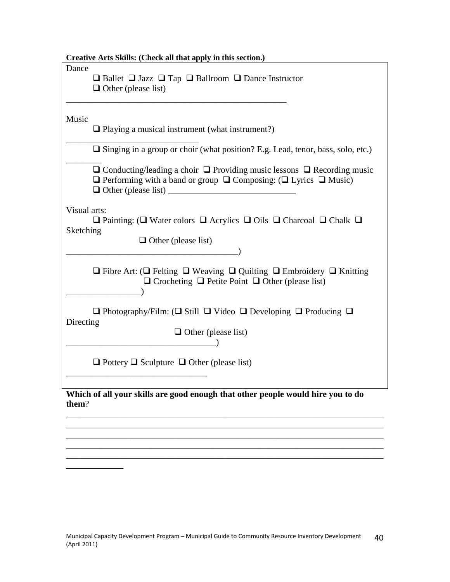| Creative Arts Skills: (Check all that apply in this section.)                                                                                                                                                   |  |  |
|-----------------------------------------------------------------------------------------------------------------------------------------------------------------------------------------------------------------|--|--|
| Dance<br>$\Box$ Ballet $\Box$ Jazz $\Box$ Tap $\Box$ Ballroom $\Box$ Dance Instructor<br>$\Box$ Other (please list)                                                                                             |  |  |
| Music<br>$\Box$ Playing a musical instrument (what instrument?)                                                                                                                                                 |  |  |
| $\Box$ Singing in a group or choir (what position? E.g. Lead, tenor, bass, solo, etc.)                                                                                                                          |  |  |
| $\Box$ Conducting/leading a choir $\Box$ Providing music lessons $\Box$ Recording music<br>$\Box$ Performing with a band or group $\Box$ Composing: ( $\Box$ Lyrics $\Box$ Music)<br>$\Box$ Other (please list) |  |  |
| Visual arts:<br>$\Box$ Painting: ( $\Box$ Water colors $\Box$ Acrylics $\Box$ Oils $\Box$ Charcoal $\Box$ Chalk $\Box$<br>Sketching<br>$\Box$ Other (please list)                                               |  |  |
| $\Box$ Fibre Art: ( $\Box$ Felting $\Box$ Weaving $\Box$ Quilting $\Box$ Embroidery $\Box$ Knitting<br>$\Box$ Crocheting $\Box$ Petite Point $\Box$ Other (please list)                                         |  |  |
| $\Box$ Photography/Film: ( $\Box$ Still $\Box$ Video $\Box$ Developing $\Box$ Producing $\Box$<br>Directing<br>$\Box$ Other (please list)                                                                       |  |  |
| $\Box$ Pottery $\Box$ Sculpture $\Box$ Other (please list)                                                                                                                                                      |  |  |
| Which of all your skills are good enough that other people would hire you to do<br>them?                                                                                                                        |  |  |

\_\_\_\_\_\_\_\_\_\_\_\_\_\_\_\_\_\_\_\_\_\_\_\_\_\_\_\_\_\_\_\_\_\_\_\_\_\_\_\_\_\_\_\_\_\_\_\_\_\_\_\_\_\_\_\_\_\_\_\_\_\_\_\_\_\_\_\_\_\_\_\_ \_\_\_\_\_\_\_\_\_\_\_\_\_\_\_\_\_\_\_\_\_\_\_\_\_\_\_\_\_\_\_\_\_\_\_\_\_\_\_\_\_\_\_\_\_\_\_\_\_\_\_\_\_\_\_\_\_\_\_\_\_\_\_\_\_\_\_\_\_\_\_\_ \_\_\_\_\_\_\_\_\_\_\_\_\_\_\_\_\_\_\_\_\_\_\_\_\_\_\_\_\_\_\_\_\_\_\_\_\_\_\_\_\_\_\_\_\_\_\_\_\_\_\_\_\_\_\_\_\_\_\_\_\_\_\_\_\_\_\_\_\_\_\_\_ \_\_\_\_\_\_\_\_\_\_\_\_\_\_\_\_\_\_\_\_\_\_\_\_\_\_\_\_\_\_\_\_\_\_\_\_\_\_\_\_\_\_\_\_\_\_\_\_\_\_\_\_\_\_\_\_\_\_\_\_\_\_\_\_\_\_\_\_\_\_\_\_

 $\overline{\phantom{a}}$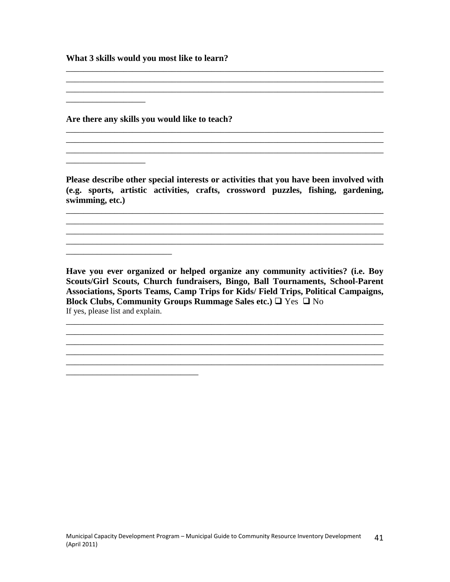**What 3 skills would you most like to learn?**

**Are there any skills you would like to teach?**

\_\_\_\_\_\_\_\_\_\_\_\_\_\_\_\_\_\_

\_\_\_\_\_\_\_\_\_\_\_\_\_\_\_\_\_\_

\_\_\_\_\_\_\_\_\_\_\_\_\_\_\_\_\_\_\_\_\_\_\_\_

\_\_\_\_\_\_\_\_\_\_\_\_\_\_\_\_\_\_\_\_\_\_\_\_\_\_\_\_\_\_

**Please describe other special interests or activities that you have been involved with (e.g. sports, artistic activities, crafts, crossword puzzles, fishing, gardening, swimming, etc.)**

\_\_\_\_\_\_\_\_\_\_\_\_\_\_\_\_\_\_\_\_\_\_\_\_\_\_\_\_\_\_\_\_\_\_\_\_\_\_\_\_\_\_\_\_\_\_\_\_\_\_\_\_\_\_\_\_\_\_\_\_\_\_\_\_\_\_\_\_\_\_\_\_ \_\_\_\_\_\_\_\_\_\_\_\_\_\_\_\_\_\_\_\_\_\_\_\_\_\_\_\_\_\_\_\_\_\_\_\_\_\_\_\_\_\_\_\_\_\_\_\_\_\_\_\_\_\_\_\_\_\_\_\_\_\_\_\_\_\_\_\_\_\_\_\_

\_\_\_\_\_\_\_\_\_\_\_\_\_\_\_\_\_\_\_\_\_\_\_\_\_\_\_\_\_\_\_\_\_\_\_\_\_\_\_\_\_\_\_\_\_\_\_\_\_\_\_\_\_\_\_\_\_\_\_\_\_\_\_\_\_\_\_\_\_\_\_\_

\_\_\_\_\_\_\_\_\_\_\_\_\_\_\_\_\_\_\_\_\_\_\_\_\_\_\_\_\_\_\_\_\_\_\_\_\_\_\_\_\_\_\_\_\_\_\_\_\_\_\_\_\_\_\_\_\_\_\_\_\_\_\_\_\_\_\_\_\_\_\_\_ \_\_\_\_\_\_\_\_\_\_\_\_\_\_\_\_\_\_\_\_\_\_\_\_\_\_\_\_\_\_\_\_\_\_\_\_\_\_\_\_\_\_\_\_\_\_\_\_\_\_\_\_\_\_\_\_\_\_\_\_\_\_\_\_\_\_\_\_\_\_\_\_

\_\_\_\_\_\_\_\_\_\_\_\_\_\_\_\_\_\_\_\_\_\_\_\_\_\_\_\_\_\_\_\_\_\_\_\_\_\_\_\_\_\_\_\_\_\_\_\_\_\_\_\_\_\_\_\_\_\_\_\_\_\_\_\_\_\_\_\_\_\_\_\_ \_\_\_\_\_\_\_\_\_\_\_\_\_\_\_\_\_\_\_\_\_\_\_\_\_\_\_\_\_\_\_\_\_\_\_\_\_\_\_\_\_\_\_\_\_\_\_\_\_\_\_\_\_\_\_\_\_\_\_\_\_\_\_\_\_\_\_\_\_\_\_\_ \_\_\_\_\_\_\_\_\_\_\_\_\_\_\_\_\_\_\_\_\_\_\_\_\_\_\_\_\_\_\_\_\_\_\_\_\_\_\_\_\_\_\_\_\_\_\_\_\_\_\_\_\_\_\_\_\_\_\_\_\_\_\_\_\_\_\_\_\_\_\_\_

**Have you ever organized or helped organize any community activities? (i.e. Boy Scouts/Girl Scouts, Church fundraisers, Bingo, Ball Tournaments, School-Parent Associations, Sports Teams, Camp Trips for Kids/ Field Trips, Political Campaigns, Block Clubs, Community Groups Rummage Sales etc.)**  $\Box$  Yes  $\Box$  No If yes, please list and explain. \_\_\_\_\_\_\_\_\_\_\_\_\_\_\_\_\_\_\_\_\_\_\_\_\_\_\_\_\_\_\_\_\_\_\_\_\_\_\_\_\_\_\_\_\_\_\_\_\_\_\_\_\_\_\_\_\_\_\_\_\_\_\_\_\_\_\_\_\_\_\_\_

\_\_\_\_\_\_\_\_\_\_\_\_\_\_\_\_\_\_\_\_\_\_\_\_\_\_\_\_\_\_\_\_\_\_\_\_\_\_\_\_\_\_\_\_\_\_\_\_\_\_\_\_\_\_\_\_\_\_\_\_\_\_\_\_\_\_\_\_\_\_\_\_

\_\_\_\_\_\_\_\_\_\_\_\_\_\_\_\_\_\_\_\_\_\_\_\_\_\_\_\_\_\_\_\_\_\_\_\_\_\_\_\_\_\_\_\_\_\_\_\_\_\_\_\_\_\_\_\_\_\_\_\_\_\_\_\_\_\_\_\_\_\_\_\_ \_\_\_\_\_\_\_\_\_\_\_\_\_\_\_\_\_\_\_\_\_\_\_\_\_\_\_\_\_\_\_\_\_\_\_\_\_\_\_\_\_\_\_\_\_\_\_\_\_\_\_\_\_\_\_\_\_\_\_\_\_\_\_\_\_\_\_\_\_\_\_\_

\_\_\_\_\_\_\_\_\_\_\_\_\_\_\_\_\_\_\_\_\_\_\_\_\_\_\_\_\_\_\_\_\_\_\_\_\_\_\_\_\_\_\_\_\_\_\_\_\_\_\_\_\_\_\_\_\_\_\_\_\_\_\_\_\_\_\_\_\_\_\_\_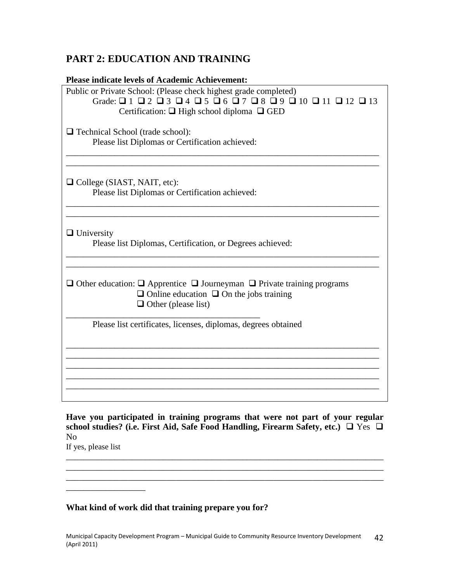# **PART 2: EDUCATION AND TRAINING**

| <b>Please indicate levels of Academic Achievement:</b>                                                                                                                                                                                                      |
|-------------------------------------------------------------------------------------------------------------------------------------------------------------------------------------------------------------------------------------------------------------|
| Public or Private School: (Please check highest grade completed)<br>Grade: $\Box$ 1 $\Box$ 2 $\Box$ 3 $\Box$ 4 $\Box$ 5 $\Box$ 6 $\Box$ 7 $\Box$ 8 $\Box$ 9 $\Box$ 10 $\Box$ 11 $\Box$ 12 $\Box$ 13<br>Certification: $\Box$ High school diploma $\Box$ GED |
| $\Box$ Technical School (trade school):<br>Please list Diplomas or Certification achieved:                                                                                                                                                                  |
| $\Box$ College (SIAST, NAIT, etc):<br>Please list Diplomas or Certification achieved:                                                                                                                                                                       |
| $\Box$ University<br>Please list Diplomas, Certification, or Degrees achieved:                                                                                                                                                                              |
| $\Box$ Other education: $\Box$ Apprentice $\Box$ Journeyman $\Box$ Private training programs<br>$\Box$ Online education $\Box$ On the jobs training<br>$\Box$ Other (please list)                                                                           |
| Please list certificates, licenses, diplomas, degrees obtained                                                                                                                                                                                              |
|                                                                                                                                                                                                                                                             |
|                                                                                                                                                                                                                                                             |

**Have you participated in training programs that were not part of your regular** school studies? (i.e. First Aid, Safe Food Handling, Firearm Safety, etc.) □ Yes □ No

\_\_\_\_\_\_\_\_\_\_\_\_\_\_\_\_\_\_\_\_\_\_\_\_\_\_\_\_\_\_\_\_\_\_\_\_\_\_\_\_\_\_\_\_\_\_\_\_\_\_\_\_\_\_\_\_\_\_\_\_\_\_\_\_\_\_\_\_\_\_\_\_

If yes, please list \_\_\_\_\_\_\_\_\_\_\_\_\_\_\_\_\_\_\_\_\_\_\_\_\_\_\_\_\_\_\_\_\_\_\_\_\_\_\_\_\_\_\_\_\_\_\_\_\_\_\_\_\_\_\_\_\_\_\_\_\_\_\_\_\_\_\_\_\_\_\_\_

\_\_\_\_\_\_\_\_\_\_\_\_\_\_\_\_\_\_

### **What kind of work did that training prepare you for?**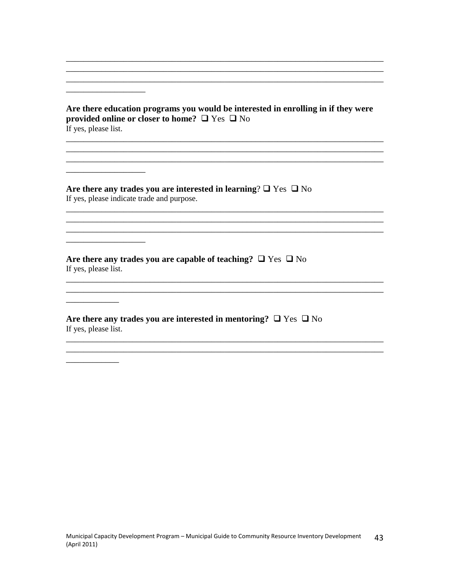#### Are there education programs you would be interested in enrolling in if they were provided online or closer to home?  $\Box$  Yes  $\Box$  No If yes, please list.

<u> 1989 - Johann Stoff, deutscher Stoff, der Stoff, der Stoff, der Stoff, der Stoff, der Stoff, der Stoff, der S</u>

Are there any trades you are interested in learning?  $\square$  Yes  $\square$  No If yes, please indicate trade and purpose.

Are there any trades you are capable of teaching?  $\Box$  Yes  $\Box$  No If yes, please list.

Are there any trades you are interested in mentoring?  $\Box$  Yes  $\Box$  No If yes, please list.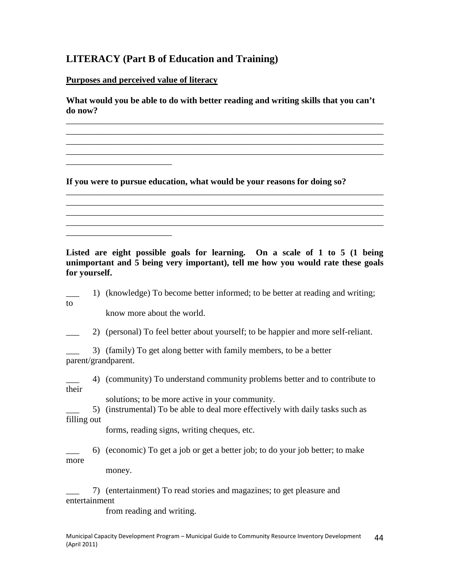### **LITERACY (Part B of Education and Training)**

**Purposes and perceived value of literacy**

\_\_\_\_\_\_\_\_\_\_\_\_\_\_\_\_\_\_\_\_\_\_\_\_

\_\_\_\_\_\_\_\_\_\_\_\_\_\_\_\_\_\_\_\_\_\_\_\_

**What would you be able to do with better reading and writing skills that you can't do now?**

\_\_\_\_\_\_\_\_\_\_\_\_\_\_\_\_\_\_\_\_\_\_\_\_\_\_\_\_\_\_\_\_\_\_\_\_\_\_\_\_\_\_\_\_\_\_\_\_\_\_\_\_\_\_\_\_\_\_\_\_\_\_\_\_\_\_\_\_\_\_\_\_ \_\_\_\_\_\_\_\_\_\_\_\_\_\_\_\_\_\_\_\_\_\_\_\_\_\_\_\_\_\_\_\_\_\_\_\_\_\_\_\_\_\_\_\_\_\_\_\_\_\_\_\_\_\_\_\_\_\_\_\_\_\_\_\_\_\_\_\_\_\_\_\_ \_\_\_\_\_\_\_\_\_\_\_\_\_\_\_\_\_\_\_\_\_\_\_\_\_\_\_\_\_\_\_\_\_\_\_\_\_\_\_\_\_\_\_\_\_\_\_\_\_\_\_\_\_\_\_\_\_\_\_\_\_\_\_\_\_\_\_\_\_\_\_\_ \_\_\_\_\_\_\_\_\_\_\_\_\_\_\_\_\_\_\_\_\_\_\_\_\_\_\_\_\_\_\_\_\_\_\_\_\_\_\_\_\_\_\_\_\_\_\_\_\_\_\_\_\_\_\_\_\_\_\_\_\_\_\_\_\_\_\_\_\_\_\_\_

\_\_\_\_\_\_\_\_\_\_\_\_\_\_\_\_\_\_\_\_\_\_\_\_\_\_\_\_\_\_\_\_\_\_\_\_\_\_\_\_\_\_\_\_\_\_\_\_\_\_\_\_\_\_\_\_\_\_\_\_\_\_\_\_\_\_\_\_\_\_\_\_ \_\_\_\_\_\_\_\_\_\_\_\_\_\_\_\_\_\_\_\_\_\_\_\_\_\_\_\_\_\_\_\_\_\_\_\_\_\_\_\_\_\_\_\_\_\_\_\_\_\_\_\_\_\_\_\_\_\_\_\_\_\_\_\_\_\_\_\_\_\_\_\_ \_\_\_\_\_\_\_\_\_\_\_\_\_\_\_\_\_\_\_\_\_\_\_\_\_\_\_\_\_\_\_\_\_\_\_\_\_\_\_\_\_\_\_\_\_\_\_\_\_\_\_\_\_\_\_\_\_\_\_\_\_\_\_\_\_\_\_\_\_\_\_\_ \_\_\_\_\_\_\_\_\_\_\_\_\_\_\_\_\_\_\_\_\_\_\_\_\_\_\_\_\_\_\_\_\_\_\_\_\_\_\_\_\_\_\_\_\_\_\_\_\_\_\_\_\_\_\_\_\_\_\_\_\_\_\_\_\_\_\_\_\_\_\_\_

**If you were to pursue education, what would be your reasons for doing so?**

**Listed are eight possible goals for learning. On a scale of 1 to 5 (1 being unimportant and 5 being very important), tell me how you would rate these goals for yourself.**

\_\_\_ 1) (knowledge) To become better informed; to be better at reading and writing; to

know more about the world.

\_\_\_ 2) (personal) To feel better about yourself; to be happier and more self-reliant.

\_\_\_ 3) (family) To get along better with family members, to be a better parent/grandparent.

\_\_\_ 4) (community) To understand community problems better and to contribute to their

solutions; to be more active in your community.

\_\_\_ 5) (instrumental) To be able to deal more effectively with daily tasks such as filling out

forms, reading signs, writing cheques, etc.

\_\_\_ 6) (economic) To get a job or get a better job; to do your job better; to make more

money.

\_\_\_ 7) (entertainment) To read stories and magazines; to get pleasure and entertainment

from reading and writing.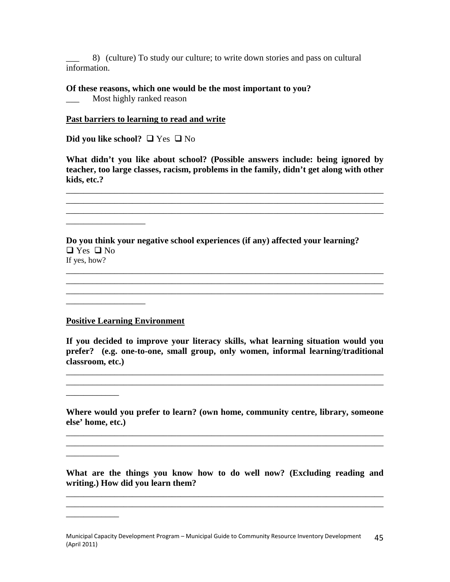\_\_\_ 8) (culture) To study our culture; to write down stories and pass on cultural information.

#### **Of these reasons, which one would be the most important to you?**

\_\_\_ Most highly ranked reason

#### **Past barriers to learning to read and write**

**Did you like school?** □ Yes □ No

**What didn't you like about school? (Possible answers include: being ignored by teacher, too large classes, racism, problems in the family, didn't get along with other kids, etc.?**

\_\_\_\_\_\_\_\_\_\_\_\_\_\_\_\_\_\_\_\_\_\_\_\_\_\_\_\_\_\_\_\_\_\_\_\_\_\_\_\_\_\_\_\_\_\_\_\_\_\_\_\_\_\_\_\_\_\_\_\_\_\_\_\_\_\_\_\_\_\_\_\_ \_\_\_\_\_\_\_\_\_\_\_\_\_\_\_\_\_\_\_\_\_\_\_\_\_\_\_\_\_\_\_\_\_\_\_\_\_\_\_\_\_\_\_\_\_\_\_\_\_\_\_\_\_\_\_\_\_\_\_\_\_\_\_\_\_\_\_\_\_\_\_\_ \_\_\_\_\_\_\_\_\_\_\_\_\_\_\_\_\_\_\_\_\_\_\_\_\_\_\_\_\_\_\_\_\_\_\_\_\_\_\_\_\_\_\_\_\_\_\_\_\_\_\_\_\_\_\_\_\_\_\_\_\_\_\_\_\_\_\_\_\_\_\_\_

\_\_\_\_\_\_\_\_\_\_\_\_\_\_\_\_\_\_\_\_\_\_\_\_\_\_\_\_\_\_\_\_\_\_\_\_\_\_\_\_\_\_\_\_\_\_\_\_\_\_\_\_\_\_\_\_\_\_\_\_\_\_\_\_\_\_\_\_\_\_\_\_ \_\_\_\_\_\_\_\_\_\_\_\_\_\_\_\_\_\_\_\_\_\_\_\_\_\_\_\_\_\_\_\_\_\_\_\_\_\_\_\_\_\_\_\_\_\_\_\_\_\_\_\_\_\_\_\_\_\_\_\_\_\_\_\_\_\_\_\_\_\_\_\_

#### **Do you think your negative school experiences (if any) affected your learning?**  $\Box$  Yes  $\Box$  No If yes, how?

#### **Positive Learning Environment**

\_\_\_\_\_\_\_\_\_\_\_\_\_\_\_\_\_\_

\_\_\_\_\_\_\_\_\_\_\_\_\_\_\_\_\_\_

\_\_\_\_\_\_\_\_\_\_\_\_

 $\frac{1}{2}$  ,  $\frac{1}{2}$  ,  $\frac{1}{2}$  ,  $\frac{1}{2}$  ,  $\frac{1}{2}$  ,  $\frac{1}{2}$  ,  $\frac{1}{2}$  ,  $\frac{1}{2}$  ,  $\frac{1}{2}$ 

\_\_\_\_\_\_\_\_\_\_\_\_

**If you decided to improve your literacy skills, what learning situation would you prefer? (e.g. one-to-one, small group, only women, informal learning/traditional classroom, etc.)**

\_\_\_\_\_\_\_\_\_\_\_\_\_\_\_\_\_\_\_\_\_\_\_\_\_\_\_\_\_\_\_\_\_\_\_\_\_\_\_\_\_\_\_\_\_\_\_\_\_\_\_\_\_\_\_\_\_\_\_\_\_\_\_\_\_\_\_\_\_\_\_\_ \_\_\_\_\_\_\_\_\_\_\_\_\_\_\_\_\_\_\_\_\_\_\_\_\_\_\_\_\_\_\_\_\_\_\_\_\_\_\_\_\_\_\_\_\_\_\_\_\_\_\_\_\_\_\_\_\_\_\_\_\_\_\_\_\_\_\_\_\_\_\_\_

**Where would you prefer to learn? (own home, community centre, library, someone else' home, etc.)**

\_\_\_\_\_\_\_\_\_\_\_\_\_\_\_\_\_\_\_\_\_\_\_\_\_\_\_\_\_\_\_\_\_\_\_\_\_\_\_\_\_\_\_\_\_\_\_\_\_\_\_\_\_\_\_\_\_\_\_\_\_\_\_\_\_\_\_\_\_\_\_\_ \_\_\_\_\_\_\_\_\_\_\_\_\_\_\_\_\_\_\_\_\_\_\_\_\_\_\_\_\_\_\_\_\_\_\_\_\_\_\_\_\_\_\_\_\_\_\_\_\_\_\_\_\_\_\_\_\_\_\_\_\_\_\_\_\_\_\_\_\_\_\_\_

**What are the things you know how to do well now? (Excluding reading and writing.) How did you learn them?**

\_\_\_\_\_\_\_\_\_\_\_\_\_\_\_\_\_\_\_\_\_\_\_\_\_\_\_\_\_\_\_\_\_\_\_\_\_\_\_\_\_\_\_\_\_\_\_\_\_\_\_\_\_\_\_\_\_\_\_\_\_\_\_\_\_\_\_\_\_\_\_\_ \_\_\_\_\_\_\_\_\_\_\_\_\_\_\_\_\_\_\_\_\_\_\_\_\_\_\_\_\_\_\_\_\_\_\_\_\_\_\_\_\_\_\_\_\_\_\_\_\_\_\_\_\_\_\_\_\_\_\_\_\_\_\_\_\_\_\_\_\_\_\_\_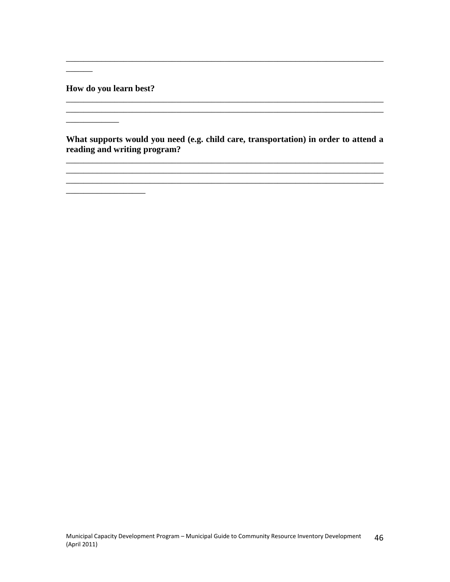**How do you learn best?**

\_\_\_\_\_\_\_\_\_\_\_\_

 $\sim$ 

**What supports would you need (e.g. child care, transportation) in order to attend a reading and writing program?**

\_\_\_\_\_\_\_\_\_\_\_\_\_\_\_\_\_\_\_\_\_\_\_\_\_\_\_\_\_\_\_\_\_\_\_\_\_\_\_\_\_\_\_\_\_\_\_\_\_\_\_\_\_\_\_\_\_\_\_\_\_\_\_\_\_\_\_\_\_\_\_\_

\_\_\_\_\_\_\_\_\_\_\_\_\_\_\_\_\_\_\_\_\_\_\_\_\_\_\_\_\_\_\_\_\_\_\_\_\_\_\_\_\_\_\_\_\_\_\_\_\_\_\_\_\_\_\_\_\_\_\_\_\_\_\_\_\_\_\_\_\_\_\_\_

\_\_\_\_\_\_\_\_\_\_\_\_\_\_\_\_\_\_\_\_\_\_\_\_\_\_\_\_\_\_\_\_\_\_\_\_\_\_\_\_\_\_\_\_\_\_\_\_\_\_\_\_\_\_\_\_\_\_\_\_\_\_\_\_\_\_\_\_\_\_\_\_ \_\_\_\_\_\_\_\_\_\_\_\_\_\_\_\_\_\_\_\_\_\_\_\_\_\_\_\_\_\_\_\_\_\_\_\_\_\_\_\_\_\_\_\_\_\_\_\_\_\_\_\_\_\_\_\_\_\_\_\_\_\_\_\_\_\_\_\_\_\_\_\_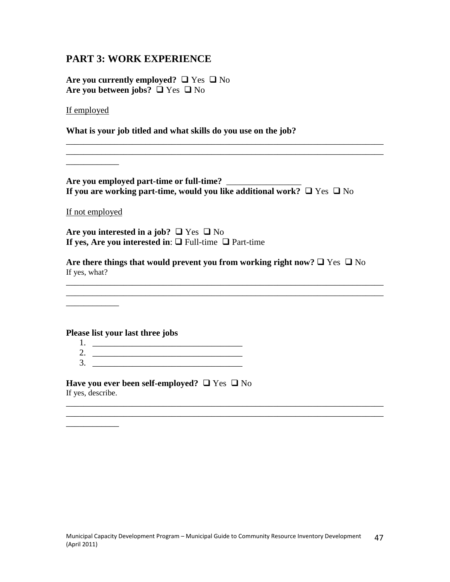### **PART 3: WORK EXPERIENCE**

Are you currently employed?  $\Box$  Yes  $\Box$  No Are you between jobs?  $\Box$  Yes  $\Box$  No

If employed

**What is your job titled and what skills do you use on the job?**

**Are you employed part-time or full-time?** \_\_\_\_\_\_\_\_\_\_\_\_\_\_\_\_\_ **If you are working part-time, would you like additional work?**  $\Box$  Yes  $\Box$  No

\_\_\_\_\_\_\_\_\_\_\_\_\_\_\_\_\_\_\_\_\_\_\_\_\_\_\_\_\_\_\_\_\_\_\_\_\_\_\_\_\_\_\_\_\_\_\_\_\_\_\_\_\_\_\_\_\_\_\_\_\_\_\_\_\_\_\_\_\_\_\_\_

If not employed

\_\_\_\_\_\_\_\_\_\_\_\_

\_\_\_\_\_\_\_\_\_\_\_\_

Are you interested in a job?  $\Box$  Yes  $\Box$  No **If yes, Are you interested in:**  $\Box$  Full-time  $\Box$  Part-time

Are there things that would prevent you from working right now?  $\Box$  Yes  $\Box$  No If yes, what?

\_\_\_\_\_\_\_\_\_\_\_\_\_\_\_\_\_\_\_\_\_\_\_\_\_\_\_\_\_\_\_\_\_\_\_\_\_\_\_\_\_\_\_\_\_\_\_\_\_\_\_\_\_\_\_\_\_\_\_\_\_\_\_\_\_\_\_\_\_\_\_\_ \_\_\_\_\_\_\_\_\_\_\_\_\_\_\_\_\_\_\_\_\_\_\_\_\_\_\_\_\_\_\_\_\_\_\_\_\_\_\_\_\_\_\_\_\_\_\_\_\_\_\_\_\_\_\_\_\_\_\_\_\_\_\_\_\_\_\_\_\_\_\_\_

\_\_\_\_\_\_\_\_\_\_\_\_\_\_\_\_\_\_\_\_\_\_\_\_\_\_\_\_\_\_\_\_\_\_\_\_\_\_\_\_\_\_\_\_\_\_\_\_\_\_\_\_\_\_\_\_\_\_\_\_\_\_\_\_\_\_\_\_\_\_\_\_

**Please list your last three jobs**

- 1. \_\_\_\_\_\_\_\_\_\_\_\_\_\_\_\_\_\_\_\_\_\_\_\_\_\_\_\_\_\_\_\_\_\_ 2. \_\_\_\_\_\_\_\_\_\_\_\_\_\_\_\_\_\_\_\_\_\_\_\_\_\_\_\_\_\_\_\_\_\_
- 3. \_\_\_\_\_\_\_\_\_\_\_\_\_\_\_\_\_\_\_\_\_\_\_\_\_\_\_\_\_\_\_\_\_\_

**Have you ever been self-employed?**  $\Box$  Yes  $\Box$  No If yes, describe.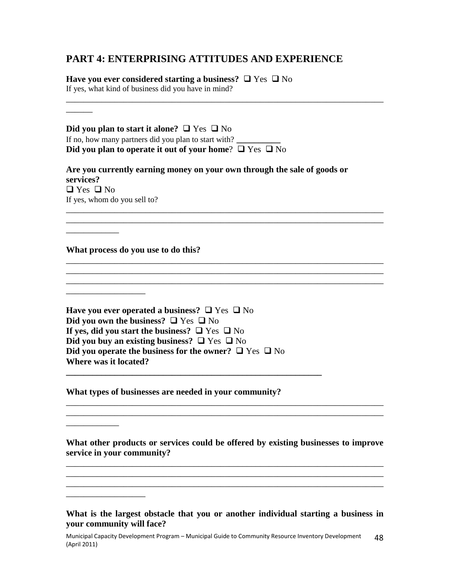### **PART 4: ENTERPRISING ATTITUDES AND EXPERIENCE**

**Have you ever considered starting a business?**  $\Box$  Yes  $\Box$  No

If yes, what kind of business did you have in mind? \_\_\_\_\_\_\_\_\_\_\_\_\_\_\_\_\_\_\_\_\_\_\_\_\_\_\_\_\_\_\_\_\_\_\_\_\_\_\_\_\_\_\_\_\_\_\_\_\_\_\_\_\_\_\_\_\_\_\_\_\_\_\_\_\_\_\_\_\_\_\_\_

| Did you plan to start it alone? $\Box$ Yes $\Box$ No<br>If no, how many partners did you plan to start with?<br>Did you plan to operate it out of your home? $\Box$ Yes $\Box$ No                                                                                                                                                   |
|-------------------------------------------------------------------------------------------------------------------------------------------------------------------------------------------------------------------------------------------------------------------------------------------------------------------------------------|
| Are you currently earning money on your own through the sale of goods or<br>services?<br>$\Box$ Yes $\Box$ No<br>If yes, whom do you sell to?                                                                                                                                                                                       |
|                                                                                                                                                                                                                                                                                                                                     |
| What process do you use to do this?                                                                                                                                                                                                                                                                                                 |
|                                                                                                                                                                                                                                                                                                                                     |
| Have you ever operated a business? $\Box$ Yes $\Box$ No<br>Did you own the business? $\Box$ Yes $\Box$ No<br>If yes, did you start the business? $\Box$ Yes $\Box$ No<br>Did you buy an existing business? $\Box$ Yes $\Box$ No<br>Did you operate the business for the owner? $\Box$ Yes $\Box$ No<br><b>Where was it located?</b> |
| What types of businesses are needed in your community?                                                                                                                                                                                                                                                                              |
| What other products or services could be offered by existing businesses to improve<br>service in your community?                                                                                                                                                                                                                    |
|                                                                                                                                                                                                                                                                                                                                     |

**What is the largest obstacle that you or another individual starting a business in your community will face?**

Municipal Capacity Development Program – Municipal Guide to Community Resource Inventory Development (April 2011) 48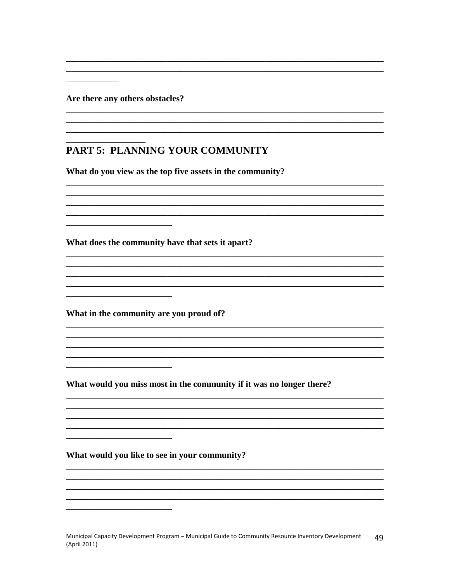Are there any others obstacles?

# PART 5: PLANNING YOUR COMMUNITY

What do you view as the top five assets in the community?

What does the community have that sets it apart?

What in the community are you proud of?

<u> 1989 - Johann John Harry Harry Harry Harry Harry Harry Harry Harry Harry Harry Harry Harry Harry Harry Harry H</u>

What would you miss most in the community if it was no longer there?

What would you like to see in your community?

Municipal Capacity Development Program - Municipal Guide to Community Resource Inventory Development 49 (April 2011)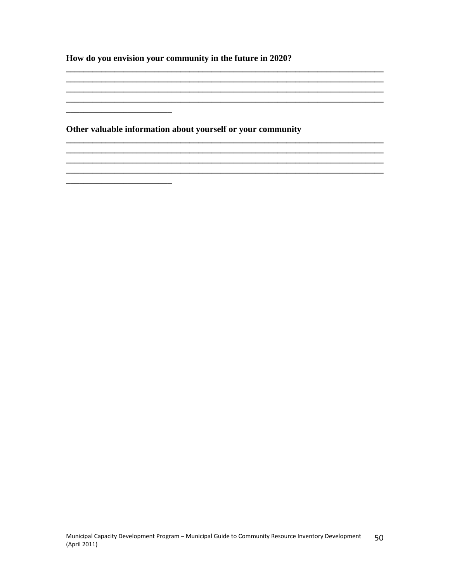How do you envision your community in the future in 2020?

Other valuable information about yourself or your community

<u> 1989 - Johann Barn, mars ar breithinn ar chwaraeth a bhaile ann an 1980. Bhaile ann an 1980 an t-Alban ann an</u>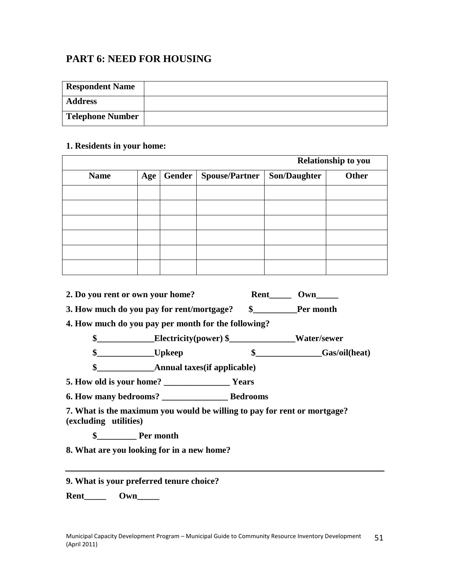# **PART 6: NEED FOR HOUSING**

| <b>Respondent Name</b>  |  |
|-------------------------|--|
| <b>Address</b>          |  |
| <b>Telephone Number</b> |  |

#### **1. Residents in your home:**

|             |     |        | <b>Relationship to you</b> |                     |       |
|-------------|-----|--------|----------------------------|---------------------|-------|
| <b>Name</b> | Age | Gender | <b>Spouse/Partner</b>      | <b>Son/Daughter</b> | Other |
|             |     |        |                            |                     |       |
|             |     |        |                            |                     |       |
|             |     |        |                            |                     |       |
|             |     |        |                            |                     |       |
|             |     |        |                            |                     |       |
|             |     |        |                            |                     |       |

| 2. Do you rent or own your home?          | Rent | Own       |
|-------------------------------------------|------|-----------|
| 3. How much do you pay for rent/mortgage? |      | Per month |

**4. How much do you pay per month for the following?**

**\$\_\_\_\_\_\_\_\_\_\_\_\_\_Electricity(power) \$\_\_\_\_\_\_\_\_\_\_\_\_\_\_\_Water/sewer**

**\$\_\_\_\_\_\_\_\_\_\_\_\_\_Upkeep \$\_\_\_\_\_\_\_\_\_\_\_\_\_\_\_Gas/oil(heat)**

**\$\_\_\_\_\_\_\_\_\_\_\_\_\_Annual taxes(if applicable)**

**5. How old is your home? \_\_\_\_\_\_\_\_\_\_\_\_\_\_\_ Years**

**6. How many bedrooms? \_\_\_\_\_\_\_\_\_\_\_\_\_\_\_ Bedrooms**

**7. What is the maximum you would be willing to pay for rent or mortgage? (excluding utilities)**

**\$\_\_\_\_\_\_\_\_\_ Per month**

**8. What are you looking for in a new home?**

### **9. What is your preferred tenure choice?**

**Rent Own**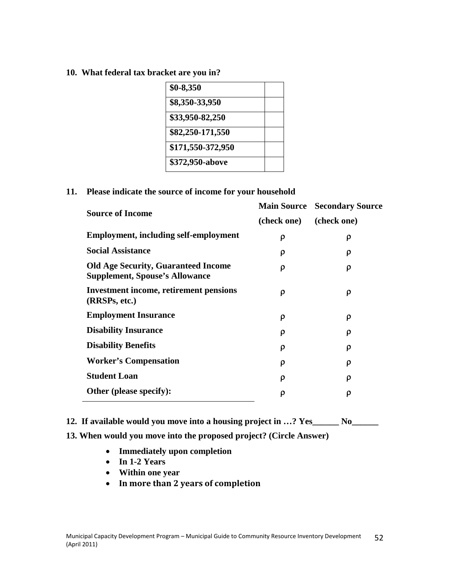**10. What federal tax bracket are you in?**

| $$0-8,350$        |  |
|-------------------|--|
| \$8,350-33,950    |  |
| \$33,950-82,250   |  |
| \$82,250-171,550  |  |
| \$171,550-372,950 |  |
| \$372,950-above   |  |

#### **11. Please indicate the source of income for your household**

| <b>Source of Income</b>                                                             |             | <b>Main Source Secondary Source</b> |
|-------------------------------------------------------------------------------------|-------------|-------------------------------------|
|                                                                                     | (check one) | (check one)                         |
| <b>Employment, including self-employment</b>                                        | ρ           | ρ                                   |
| <b>Social Assistance</b>                                                            | ρ           | ρ                                   |
| <b>Old Age Security, Guaranteed Income</b><br><b>Supplement, Spouse's Allowance</b> | ρ           | ρ                                   |
| <b>Investment income, retirement pensions</b><br>(RRSPs, etc.)                      | ρ           | ρ                                   |
| <b>Employment Insurance</b>                                                         | ρ           | ρ                                   |
| <b>Disability Insurance</b>                                                         | ρ           | ρ                                   |
| <b>Disability Benefits</b>                                                          | ρ           | ρ                                   |
| <b>Worker's Compensation</b>                                                        | ρ           | ρ                                   |
| <b>Student Loan</b>                                                                 | ρ           | ρ                                   |
| Other (please specify):                                                             | ρ           | ρ                                   |

**12. If available would you move into a housing project in …? Yes\_\_\_\_\_\_ No\_\_\_\_\_\_**

### **13. When would you move into the proposed project? (Circle Answer)**

- **Immediately upon completion**
- **In 1-2 Years**
- **Within one year**
- **In more than 2 years of completion**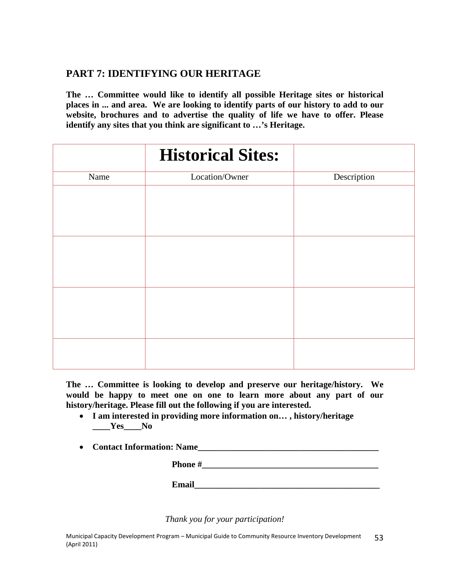# **PART 7: IDENTIFYING OUR HERITAGE**

**The … Committee would like to identify all possible Heritage sites or historical places in ... and area. We are looking to identify parts of our history to add to our website, brochures and to advertise the quality of life we have to offer. Please identify any sites that you think are significant to …'s Heritage.**

|      | <b>Historical Sites:</b> |             |
|------|--------------------------|-------------|
| Name | Location/Owner           | Description |
|      |                          |             |
|      |                          |             |
|      |                          |             |
|      |                          |             |
|      |                          |             |
|      |                          |             |
|      |                          |             |
|      |                          |             |
|      |                          |             |
|      |                          |             |
|      |                          |             |

**The … Committee is looking to develop and preserve our heritage/history. We would be happy to meet one on one to learn more about any part of our history/heritage. Please fill out the following if you are interested.**

- **I am interested in providing more information on… , history/heritage**  $Yes$  No
- **Contact Information: Name\_\_\_\_\_\_\_\_\_\_\_\_\_\_\_\_\_\_\_\_\_\_\_\_\_\_\_\_\_\_\_\_\_\_\_\_\_\_\_\_\_**

**Phone #\_\_\_\_\_\_\_\_\_\_\_\_\_\_\_\_\_\_\_\_\_\_\_\_\_\_\_\_\_\_\_\_\_\_\_\_\_\_\_\_**

**Email Email** 

*Thank you for your participation!*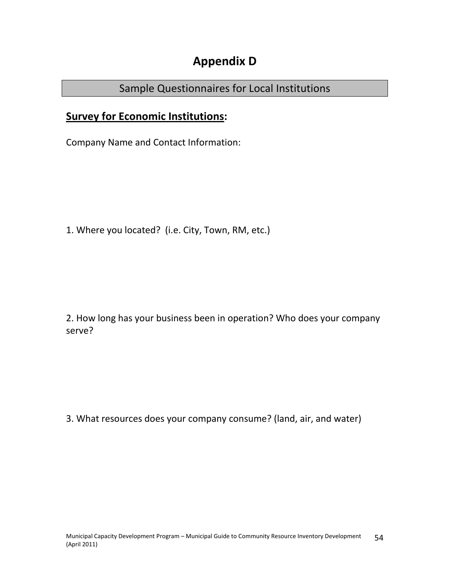# **Appendix D**

# Sample Questionnaires for Local Institutions

# **Survey for Economic Institutions:**

Company Name and Contact Information:

1. Where you located? (i.e. City, Town, RM, etc.)

2. How long has your business been in operation? Who does your company serve?

3. What resources does your company consume? (land, air, and water)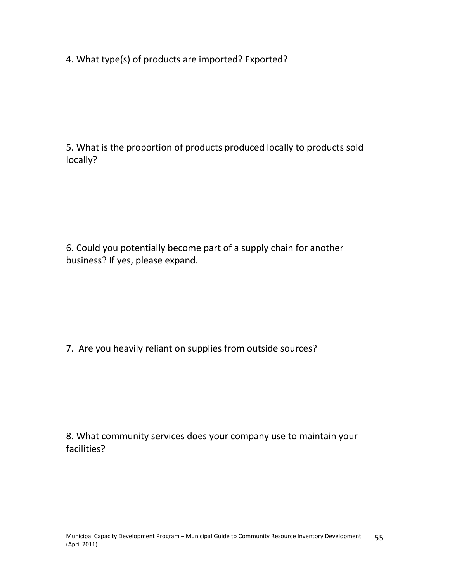4. What type(s) of products are imported? Exported?

5. What is the proportion of products produced locally to products sold locally?

6. Could you potentially become part of a supply chain for another business? If yes, please expand.

7. Are you heavily reliant on supplies from outside sources?

8. What community services does your company use to maintain your facilities?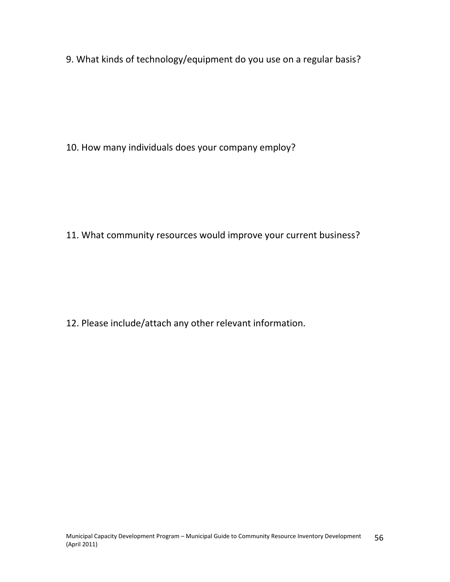9. What kinds of technology/equipment do you use on a regular basis?

10. How many individuals does your company employ?

11. What community resources would improve your current business?

12. Please include/attach any other relevant information.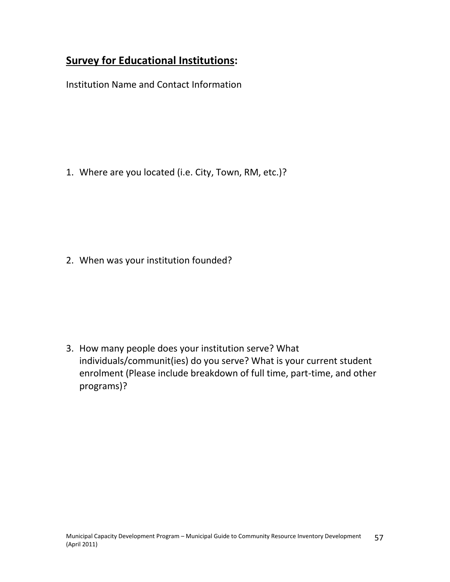# **Survey for Educational Institutions:**

Institution Name and Contact Information

1. Where are you located (i.e. City, Town, RM, etc.)?

2. When was your institution founded?

3. How many people does your institution serve? What individuals/communit(ies) do you serve? What is your current student enrolment (Please include breakdown of full time, part-time, and other programs)?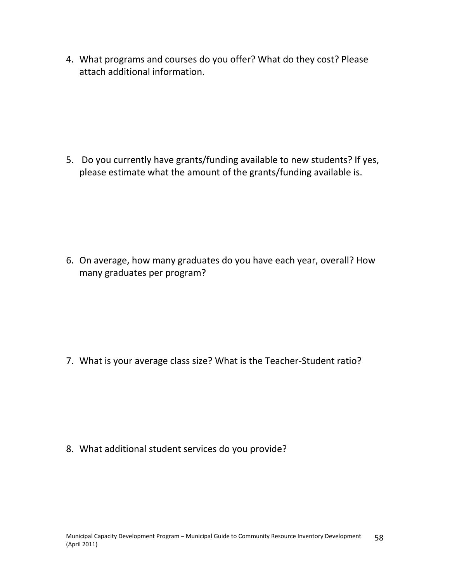4. What programs and courses do you offer? What do they cost? Please attach additional information.

5. Do you currently have grants/funding available to new students? If yes, please estimate what the amount of the grants/funding available is.

6. On average, how many graduates do you have each year, overall? How many graduates per program?

7. What is your average class size? What is the Teacher-Student ratio?

8. What additional student services do you provide?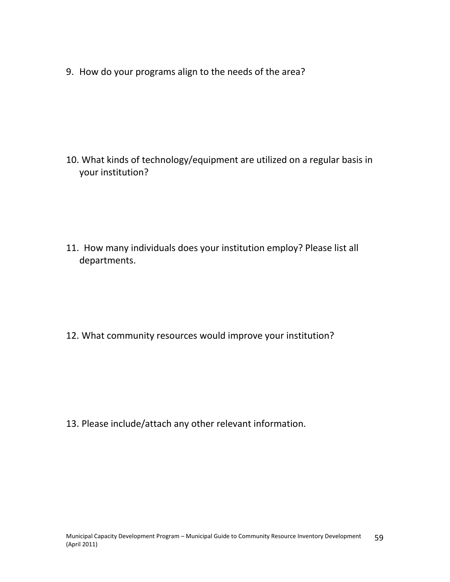9. How do your programs align to the needs of the area?

10. What kinds of technology/equipment are utilized on a regular basis in your institution?

11. How many individuals does your institution employ? Please list all departments.

12. What community resources would improve your institution?

13. Please include/attach any other relevant information.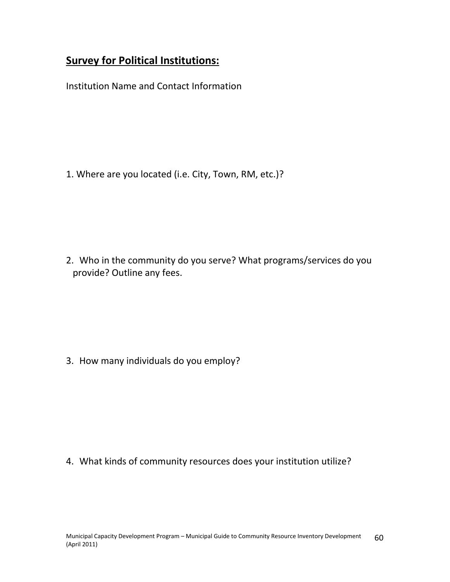# **Survey for Political Institutions:**

Institution Name and Contact Information

1. Where are you located (i.e. City, Town, RM, etc.)?

2. Who in the community do you serve? What programs/services do you provide? Outline any fees.

3. How many individuals do you employ?

4. What kinds of community resources does your institution utilize?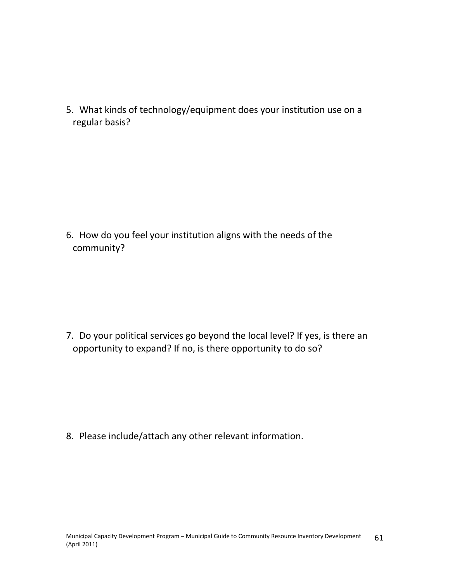5. What kinds of technology/equipment does your institution use on a regular basis?

6. How do you feel your institution aligns with the needs of the community?

7. Do your political services go beyond the local level? If yes, is there an opportunity to expand? If no, is there opportunity to do so?

8. Please include/attach any other relevant information.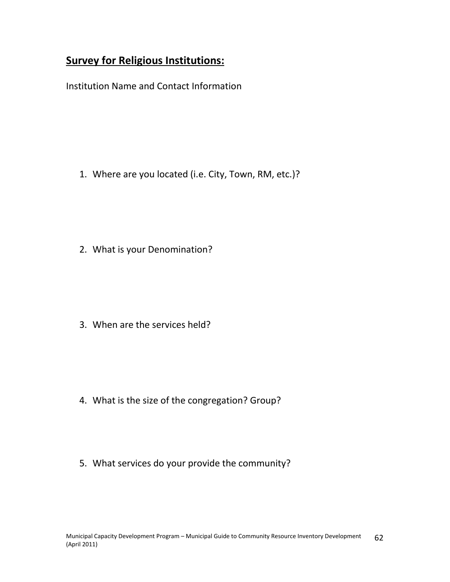# **Survey for Religious Institutions:**

Institution Name and Contact Information

1. Where are you located (i.e. City, Town, RM, etc.)?

2. What is your Denomination?

3. When are the services held?

- 4. What is the size of the congregation? Group?
- 5. What services do your provide the community?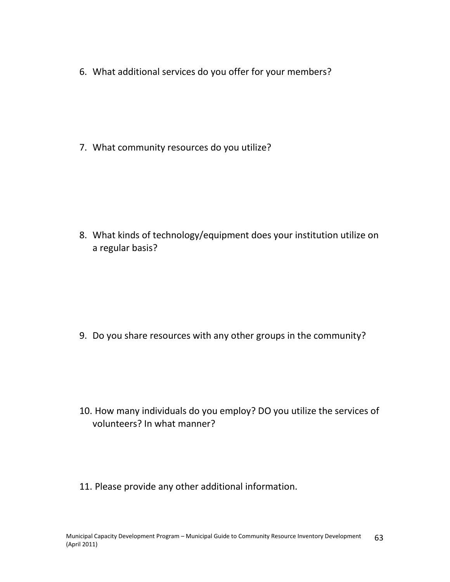6. What additional services do you offer for your members?

7. What community resources do you utilize?

8. What kinds of technology/equipment does your institution utilize on a regular basis?

9. Do you share resources with any other groups in the community?

- 10. How many individuals do you employ? DO you utilize the services of volunteers? In what manner?
- 11. Please provide any other additional information.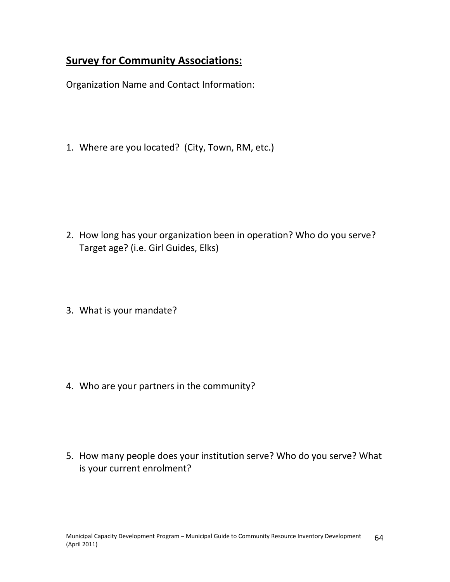# **Survey for Community Associations:**

Organization Name and Contact Information:

1. Where are you located? (City, Town, RM, etc.)

- 2. How long has your organization been in operation? Who do you serve? Target age? (i.e. Girl Guides, Elks)
- 3. What is your mandate?

4. Who are your partners in the community?

5. How many people does your institution serve? Who do you serve? What is your current enrolment?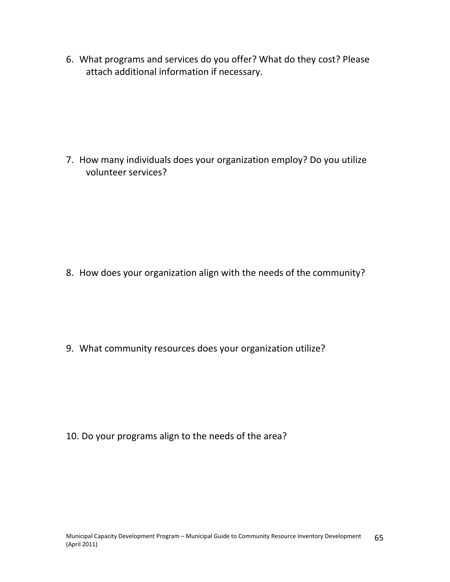6. What programs and services do you offer? What do they cost? Please attach additional information if necessary.

7. How many individuals does your organization employ? Do you utilize volunteer services?

8. How does your organization align with the needs of the community?

9. What community resources does your organization utilize?

10. Do your programs align to the needs of the area?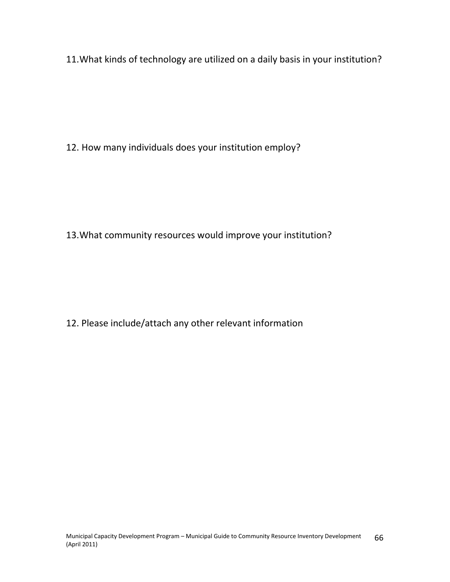11.What kinds of technology are utilized on a daily basis in your institution?

12. How many individuals does your institution employ?

13.What community resources would improve your institution?

12. Please include/attach any other relevant information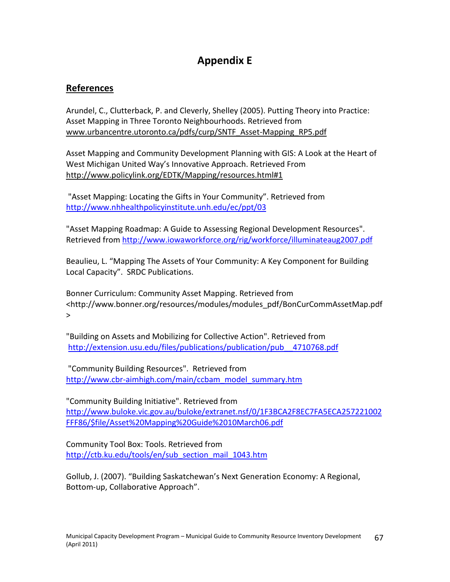# **Appendix E**

# **References**

Arundel, C., Clutterback, P. and Cleverly, Shelley (2005). Putting Theory into Practice: Asset Mapping in Three Toronto Neighbourhoods. Retrieved from [www.urbancentre.utoronto.ca/pdfs/curp/SNTF\\_Asset-Mapping\\_RP5.pdf](http://mail.sarm.ca/exchweb/bin/redir.asp?URL=http://www.urbancentre.utoronto.ca/pdfs/curp/SNTF_Asset-Mapping_RP5.pdf)

Asset Mapping and Community Development Planning with GIS: A Look at the Heart of West Michigan United Way's Innovative Approach. Retrieved From h[ttp://www.policylink.org/EDTK/Mapping/resources.html#1](http://mail.sarm.ca/exchweb/bin/redir.asp?URL=http://www.policylink.org/EDTK/Mapping/resources.html%231)

"Asset Mapping: Locating the Gifts in Your Community". Retrieved from <http://www.nhhealthpolicyinstitute.unh.edu/ec/ppt/03>

"Asset Mapping Roadmap: A Guide to Assessing Regional Development Resources". Retrieved from <http://www.iowaworkforce.org/rig/workforce/illuminateaug2007.pdf>

Beaulieu, L. "Mapping The Assets of Your Community: A Key Component for Building Local Capacity". SRDC Publications.

Bonner Curriculum: Community Asset Mapping. Retrieved from <http://www.bonner.org/resources/modules/modules\_pdf/BonCurCommAssetMap.pdf >

"Building on Assets and Mobilizing for Collective Action". Retrieved from http://extension.usu.edu/files/publications/publication/pub\_4710768.pdf

"Community Building Resources". Retrieved from [http://www.cbr-aimhigh.com/main/ccbam\\_model\\_summary.htm](http://www.cbr-aimhigh.com/main/ccbam_model_summary.htm)

"Community Building Initiative". Retrieved from [http://www.buloke.vic.gov.au/buloke/extranet.nsf/0/1F3BCA2F8EC7FA5ECA257221002](http://www.buloke.vic.gov.au/buloke/extranet.nsf/0/1F3BCA2F8EC7FA5ECA257221002FFF86/$file/Asset Mapping Guide 10March06.pdf) [FFF86/\\$file/Asset%20Mapping%20Guide%2010March06.pdf](http://www.buloke.vic.gov.au/buloke/extranet.nsf/0/1F3BCA2F8EC7FA5ECA257221002FFF86/$file/Asset Mapping Guide 10March06.pdf)

Community Tool Box: Tools. Retrieved from [http://ctb.ku.edu/tools/en/sub\\_section\\_mail\\_1043.htm](http://ctb.ku.edu/tools/en/sub_section_mail_1043.htm)

Gollub, J. (2007). "Building Saskatchewan's Next Generation Economy: A Regional, Bottom-up, Collaborative Approach".